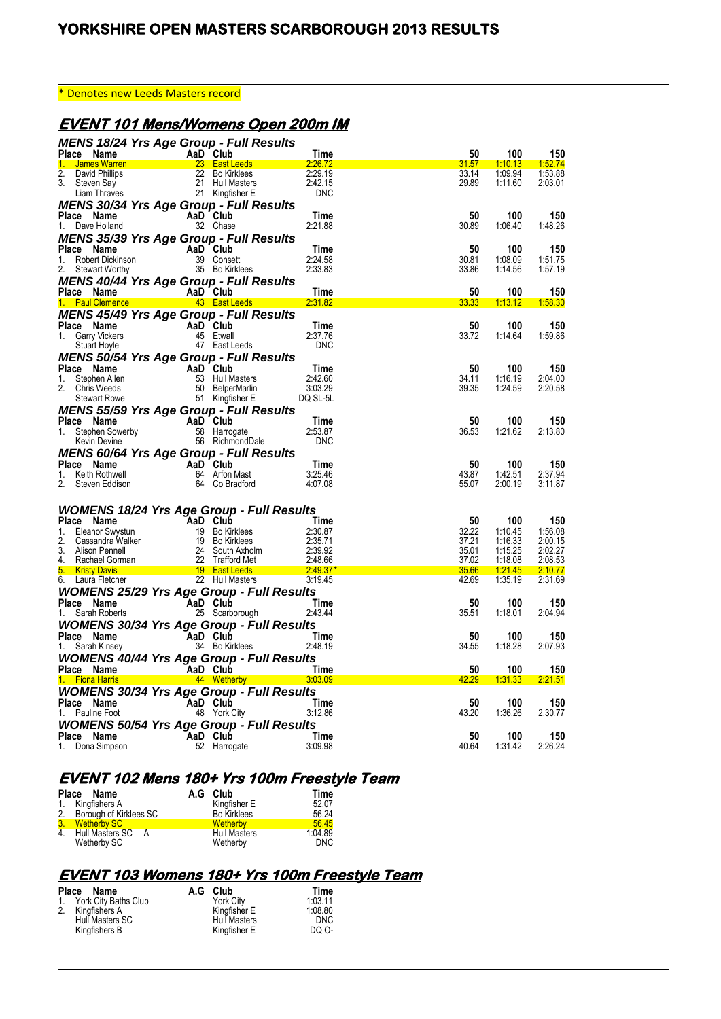#### \* Denotes new Leeds Masters record

# **EVENT 101 Mens/Womens Open 200m IM**

| <b>MENS 18/24 Yrs Age Group - Full Results</b>                                                                                                                                                                                                                    |                                                          |                                                   |                                                                                                                                                                                                                                                   |             |                  |                |
|-------------------------------------------------------------------------------------------------------------------------------------------------------------------------------------------------------------------------------------------------------------------|----------------------------------------------------------|---------------------------------------------------|---------------------------------------------------------------------------------------------------------------------------------------------------------------------------------------------------------------------------------------------------|-------------|------------------|----------------|
| <b>Community</b> Community Additional Club<br><b>James Warren</b><br><b>Community Community Community Community Community</b> Community Community Community Community Community Community<br>Community Community Community Community Community Comm<br>Place Name |                                                          |                                                   | Time                                                                                                                                                                                                                                              | 50          | 100              | 150            |
| $1 -$                                                                                                                                                                                                                                                             |                                                          |                                                   | 2:26.72                                                                                                                                                                                                                                           | 31.57       | 1:10.13          | 1:52.74        |
| $\overline{2}$ .                                                                                                                                                                                                                                                  |                                                          |                                                   | 2:29.19                                                                                                                                                                                                                                           | 33.14       | 1:09.94          | 1.53.88        |
| 3.                                                                                                                                                                                                                                                                |                                                          |                                                   | 2:42.15                                                                                                                                                                                                                                           | 29.89       | 1:11.60          | 2:03.01        |
| David Phillips<br>Steven Say 21 Hull Masters<br>Liam Thraves 21 Kingfisher E                                                                                                                                                                                      |                                                          |                                                   | <b>DNC</b>                                                                                                                                                                                                                                        |             |                  |                |
| <b>MENS 30/34 Yrs Age Group - Full Results</b>                                                                                                                                                                                                                    |                                                          |                                                   |                                                                                                                                                                                                                                                   |             |                  |                |
|                                                                                                                                                                                                                                                                   |                                                          |                                                   | Time                                                                                                                                                                                                                                              | 50          | 100              | 150            |
| <b>Place Name</b><br>1. Dave Holland <b>Camera Start Community</b> 32 Chase                                                                                                                                                                                       |                                                          | 32 Chase                                          | 2:21.88                                                                                                                                                                                                                                           | 30.89       | 1:06.40          | 1.48.26        |
| <b>MENS 35/39 Yrs Age Group - Full Results</b>                                                                                                                                                                                                                    |                                                          |                                                   |                                                                                                                                                                                                                                                   |             |                  |                |
| Place Name                                                                                                                                                                                                                                                        |                                                          |                                                   | Time                                                                                                                                                                                                                                              | 50          | 100              | 150            |
|                                                                                                                                                                                                                                                                   | $\mathsf{AaD}$ Club                                      | 39 Consett                                        | 2:24.58                                                                                                                                                                                                                                           | 30.81       | 1:08.09          | 1:51.75        |
| 1.<br>Robert Dickinson<br>Stewart Worthy                                                                                                                                                                                                                          |                                                          | 35 Bo Kirklees                                    | 2:33.83                                                                                                                                                                                                                                           | 33.86       | 1:14.56          | 1:57.19        |
| 2.<br>Stewart Worthy                                                                                                                                                                                                                                              |                                                          |                                                   |                                                                                                                                                                                                                                                   |             |                  |                |
| <b>MENS 40/44 Yrs Age Group - Full Results</b>                                                                                                                                                                                                                    |                                                          |                                                   |                                                                                                                                                                                                                                                   |             |                  |                |
|                                                                                                                                                                                                                                                                   |                                                          |                                                   | Time                                                                                                                                                                                                                                              | 50          | 100              | 150            |
| Place Name<br>1. Paul Clemence <b>1. Age 1. Paul Clemence</b> 1. Paul Clemence 1. Age 1. Age 1. Age 1. Age 1. Age 1. Age 1. Age 1.                                                                                                                                |                                                          |                                                   | 2.31.82                                                                                                                                                                                                                                           | 33.33       | <u>1:13.12  </u> | 1.58.30        |
| MENS 45/49 Yrs Age Group - Full Results                                                                                                                                                                                                                           |                                                          |                                                   |                                                                                                                                                                                                                                                   |             |                  |                |
| Place Name                                                                                                                                                                                                                                                        | AaD Club                                                 |                                                   | Time                                                                                                                                                                                                                                              | 50          | 100              | 150            |
| Garry Vickers<br>1.                                                                                                                                                                                                                                               |                                                          | 45 Etwall                                         | 2:37.76                                                                                                                                                                                                                                           | 33.72       | 1:14.64          | 1.59.86        |
| Stuart Hoyle                                                                                                                                                                                                                                                      |                                                          | <b>aD CIUb<br/>45 Etwall<br/>47 East Leeds</b>    | <b>DNC</b>                                                                                                                                                                                                                                        |             |                  |                |
|                                                                                                                                                                                                                                                                   |                                                          |                                                   |                                                                                                                                                                                                                                                   |             |                  |                |
| <b>MENS 50/54 Yrs Age Group - Full Results<br/> Place Name<br/> 1. Stephen Allen<br/> 2. Chris Weeds<br/> Stewart Rowe<br/> 1. Stephen Allen<br/> 1. Stewart Rowe<br/> 51 Kingfisher E</b>                                                                        |                                                          |                                                   |                                                                                                                                                                                                                                                   |             |                  |                |
|                                                                                                                                                                                                                                                                   |                                                          |                                                   | Time                                                                                                                                                                                                                                              | 50          | 100              | 150            |
|                                                                                                                                                                                                                                                                   |                                                          |                                                   | 2:42.60                                                                                                                                                                                                                                           | 34.11       | 1:16.19          | 2:04.00        |
|                                                                                                                                                                                                                                                                   |                                                          |                                                   | 3:03.29                                                                                                                                                                                                                                           | 39.35       | 1:24.59          | 2:20.58        |
| Stewart Rowe                                                                                                                                                                                                                                                      |                                                          | 51 Kingfisher E                                   | DQ SL-5L                                                                                                                                                                                                                                          |             |                  |                |
| <b>MENS 55/59 Yrs Age Group - Full Results</b>                                                                                                                                                                                                                    |                                                          |                                                   |                                                                                                                                                                                                                                                   |             |                  |                |
| Place Name<br>ce Name<br>Stephen Sowerby<br>Kevin Devine                                                                                                                                                                                                          |                                                          | AaD Club                                          | Time                                                                                                                                                                                                                                              | 50          | 100              | 150            |
| 1.                                                                                                                                                                                                                                                                |                                                          | 58 Harrogate                                      | 2:53.87                                                                                                                                                                                                                                           | 36.53       | 1:21.62          | 2:13.80        |
| Kevin Devine                                                                                                                                                                                                                                                      |                                                          | <b>aD Club</b><br>58 Harrogate<br>56 RichmondDale | <b>DNC</b>                                                                                                                                                                                                                                        |             |                  |                |
| MENS 60/64 Yrs Age Group - Full Results                                                                                                                                                                                                                           |                                                          |                                                   |                                                                                                                                                                                                                                                   |             |                  |                |
| Place Name                                                                                                                                                                                                                                                        | AaD Club<br>MaaD Club<br>64 Arfon Mast<br>64 Co Bradford |                                                   | Time                                                                                                                                                                                                                                              | 50          | 100              | 150            |
| 1. Keith Rothwell                                                                                                                                                                                                                                                 |                                                          |                                                   | 3:25.46                                                                                                                                                                                                                                           | 43.87       | 1:42.51          | 2.37.94        |
| 2.<br>Steven Eddison                                                                                                                                                                                                                                              |                                                          | 64 Co Bradford                                    | 4:07.08                                                                                                                                                                                                                                           | 55.07       | 2:00.19          | 3:11.87        |
|                                                                                                                                                                                                                                                                   |                                                          |                                                   |                                                                                                                                                                                                                                                   |             |                  |                |
|                                                                                                                                                                                                                                                                   |                                                          |                                                   |                                                                                                                                                                                                                                                   |             |                  |                |
| <b>WOMENS 18/24 Yrs Age Group - Full Results</b>                                                                                                                                                                                                                  |                                                          |                                                   |                                                                                                                                                                                                                                                   |             |                  |                |
|                                                                                                                                                                                                                                                                   |                                                          |                                                   |                                                                                                                                                                                                                                                   | 50          | 100              | 150            |
|                                                                                                                                                                                                                                                                   |                                                          |                                                   |                                                                                                                                                                                                                                                   | 32.22       | 1:10.45          | 1.56.08        |
|                                                                                                                                                                                                                                                                   |                                                          |                                                   |                                                                                                                                                                                                                                                   |             |                  | 2:00.15        |
|                                                                                                                                                                                                                                                                   |                                                          |                                                   |                                                                                                                                                                                                                                                   | 37.21       | 1:16.33          |                |
|                                                                                                                                                                                                                                                                   |                                                          |                                                   |                                                                                                                                                                                                                                                   | 35.01       | 1:15.25          | 2:02.27        |
|                                                                                                                                                                                                                                                                   |                                                          |                                                   |                                                                                                                                                                                                                                                   | 37.02       | 1:18.08          | 2:08.53        |
|                                                                                                                                                                                                                                                                   |                                                          |                                                   |                                                                                                                                                                                                                                                   | 35.66       | <u>1:21.45</u>   | 2:10.77        |
|                                                                                                                                                                                                                                                                   |                                                          |                                                   |                                                                                                                                                                                                                                                   | 42.69       | 1:35.19          | 2:31.69        |
|                                                                                                                                                                                                                                                                   |                                                          |                                                   | <b>Place Name AaD Club - FUII Results</b><br>2. Cassandra Walker<br>2. Cassandra Walker<br>2. Cassandra Walker<br>2. Substitute of the Substitution of the Substitution<br>2. Substitute 2.4 South Axholm<br>2. Substitute 2.48.66<br>3. Kristy D |             |                  |                |
| <b>WOMENS 25/29 Yrs Age Group - Full Results</b>                                                                                                                                                                                                                  |                                                          |                                                   |                                                                                                                                                                                                                                                   |             |                  |                |
| Place Name                                                                                                                                                                                                                                                        | $\overline{A}$ a <sub>D</sub> Club                       |                                                   | Time                                                                                                                                                                                                                                              | 50          | 100              | 150            |
| Sarah Roberts<br>1.                                                                                                                                                                                                                                               |                                                          | AaU Club<br>25 Scarborough                        | 2:43.44                                                                                                                                                                                                                                           | 35.51       | 1:18.01          | 2:04.94        |
| <b>WOMENS 30/34 Yrs Age Group - Full Results</b>                                                                                                                                                                                                                  |                                                          |                                                   |                                                                                                                                                                                                                                                   |             |                  |                |
| Place Name                                                                                                                                                                                                                                                        |                                                          |                                                   | – Time                                                                                                                                                                                                                                            | 50          | 100              | 150            |
| 1. Sarah Kinsey                                                                                                                                                                                                                                                   | AaD Club<br>34 Bo Kirklees                               |                                                   | 2:48.19                                                                                                                                                                                                                                           | 34.55       | 1:18.28          | 2:07.93        |
| <b>WOMENS 40/44 Yrs Age Group - Full Results</b>                                                                                                                                                                                                                  |                                                          |                                                   |                                                                                                                                                                                                                                                   |             |                  |                |
|                                                                                                                                                                                                                                                                   |                                                          |                                                   |                                                                                                                                                                                                                                                   | 50          | 100              | 150            |
|                                                                                                                                                                                                                                                                   |                                                          |                                                   |                                                                                                                                                                                                                                                   | 42.29       | 1:31.33          | 2:21.51        |
| Place Name <b>AaD Club</b> Time<br>1. Fiona Harris <b>1. Access 1. Fiona Harris</b> 1. Access 144 Wetherby 1.03.09                                                                                                                                                |                                                          |                                                   |                                                                                                                                                                                                                                                   |             |                  |                |
| <b>WOMENS 30/34 Yrs Age Group - Full Results</b>                                                                                                                                                                                                                  |                                                          |                                                   |                                                                                                                                                                                                                                                   |             |                  |                |
| Place Name                                                                                                                                                                                                                                                        |                                                          |                                                   | Time                                                                                                                                                                                                                                              | 50          | 100              | 150            |
| 1. Pauline Foot                                                                                                                                                                                                                                                   | AaD Club<br>48 York C                                    | 48 York City                                      | 3:12.86                                                                                                                                                                                                                                           | 43.20       | 1.36.26          | 2.30.77        |
| <b>WOMENS 50/54 Yrs Age Group - Full Results</b>                                                                                                                                                                                                                  |                                                          |                                                   |                                                                                                                                                                                                                                                   |             |                  |                |
| Place Name<br>1. Dona Simpson                                                                                                                                                                                                                                     | AaD Club<br>52 Harror                                    | 52 Harrogate                                      | Time<br>3:09.98                                                                                                                                                                                                                                   | 50<br>40.64 | 100<br>1.31.42   | 150<br>2:26.24 |

# **EVENT 102 Mens 180+ Yrs 100m Freestyle Team**

| Place Name                | A.G Club            | Time       |
|---------------------------|---------------------|------------|
| 1. Kingfishers A          | Kingfisher E        | 52.07      |
| 2. Borough of Kirklees SC | <b>Bo Kirklees</b>  | 56.24      |
| 3. Wetherby SC            | <b>Wetherby</b>     | 5645       |
| 4. Hull Masters SC<br>A   | <b>Hull Masters</b> | 1:04.89    |
| Wetherby SC               | Wetherby            | <b>DNC</b> |

## **EVENT 103 Womens 180+ Yrs 100m Freestyle Team**

| Place Name              | A.G Club            | Time       |
|-------------------------|---------------------|------------|
| 1. York City Baths Club | York City           | 1:03.11    |
| 2. Kingfishers A        | Kingfisher E        | 1:08.80    |
| Hull Masters SC         | <b>Hull Masters</b> | <b>DNC</b> |
| Kingfishers B           | Kingfisher E        | DQ O-      |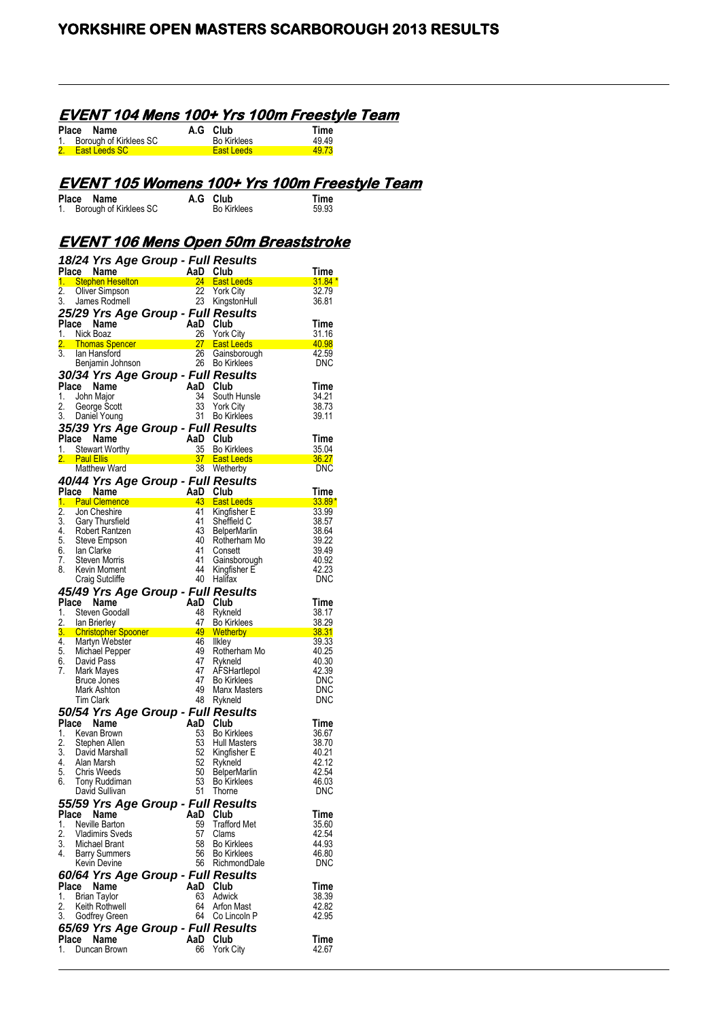## **EVENT 104 Mens 100+ Yrs 100m Freestyle Team**

| Place Name                | A.G Club           | Time  |
|---------------------------|--------------------|-------|
| 1. Borough of Kirklees SC | <b>Bo Kirklees</b> | 4949  |
| 2. East Leeds SC          | East Leeds         | 49.73 |

# **EVENT 105 Womens 100+ Yrs 100m Freestyle Team**

| Place Name                | A.G Club           | Time  |
|---------------------------|--------------------|-------|
| 1. Borough of Kirklees SC | <b>Bo Kirklees</b> | 59.93 |

## **EVENT 106 Mens Open 50m Breaststroke**

|             |                   | 18/24 Yrs Age Group - Full Results         |           |                                           |                |
|-------------|-------------------|--------------------------------------------|-----------|-------------------------------------------|----------------|
|             |                   | Place Name                                 | AaD       | Club                                      | Time           |
| 1.          |                   | - Stephen Heselton - The Stephen Heselton  | 24        | <b>East Leeds</b>                         | 31.84 *        |
| 2.<br>3.    |                   | Oliver Simpson<br>James Rodmell            | 22        | <b>York City</b><br>23 KingstonHull       | 32.79<br>36.81 |
|             |                   | 25/29 Yrs Age Group - Full Results         |           |                                           |                |
|             |                   | Place Name                                 | AaD Club  |                                           | Time           |
| 1.          |                   | Nick Boaz                                  | 26        | <b>York City</b>                          | 31.16          |
| 2.          |                   | Thomas Spencer                             |           | 27 East Leeds                             | 40.98          |
| 3.          |                   | lan Hansford                               | 26        | Gainsborough                              | 42.59          |
|             |                   | Benjamin Johnson                           | 26        | <b>Bo Kirklees</b>                        | DNC            |
|             |                   | 30/34 Yrs Age Group - Full Results         |           |                                           |                |
| Place<br>1. |                   | Name<br>John Major                         | AaD<br>34 | Club<br>South Hunsle                      | Time<br>34.21  |
| 2.          |                   | George Scott                               | 33        | <b>York City</b>                          | 38.73          |
| 3.          |                   | Daniel Young                               | 31        | <b>Bo Kirklees</b>                        | 39.11          |
|             |                   | 35/39 Yrs Age Group - Full Results         |           |                                           |                |
|             |                   | Place Name                                 | AaD Club  |                                           | Time           |
| 1.          |                   | <b>Stewart Worthy</b>                      | 35        | <b>Bo Kirklees</b>                        | 35.04          |
|             | <b>Paul Ellis</b> | <b>Matthew Ward</b>                        |           | 37 East Leeds<br>38 Wetherby              | 36.27<br>DNC   |
|             |                   | 40/44 Yrs Age Group - Full Results         |           |                                           |                |
| Place       |                   | Name                                       | AaD       | Club                                      | Time           |
| 1.          |                   | <b>Paul Clemence</b>                       | $43 -$    | <b>East Leeds</b>                         | $33.89*$       |
| 2.          |                   | Jon Cheshire                               | 41        | Kingfisher E                              | 33.99          |
| 3.          |                   | Gary Thursfield                            | 41<br>43  | Sheffield C                               | 38.57          |
| 4.<br>5.    |                   | Robert Rantzen<br>Steve Empson             | 40        | <b>BelperMarlin</b><br>Rotherham Mo       | 38.64<br>39.22 |
| 6.          |                   | Ian Clarke                                 | 41        | Consett                                   | 39.49          |
| 7.          |                   | Steven Morris                              | 41        | Gainsborough                              | 40.92          |
| 8.          |                   | Kevin Moment                               | 44        | Kingfisher E                              | 42.23          |
|             |                   | Craig Sutcliffe                            | 40        | Halifax                                   | DNC            |
|             |                   | 45/49 Yrs Age Group - Full Results         |           |                                           |                |
| Place<br>1. |                   | Name<br>Steven Goodall                     | AaD<br>48 | Club<br>Rykneld                           | Time<br>38.17  |
| 2.          |                   | lan Brierley                               | 47        | <b>Bo Kirklees</b>                        | 38.29          |
| 3.          |                   | <b>Christopher Spooner</b>                 | 49        | <b>Wetherby</b>                           | 38.31          |
| 4.          |                   | Martyn Webster                             | 46        | Ilkley                                    | 39.33          |
| 5.<br>6.    |                   | Michael Pepper<br>David Pass               | 49<br>47  | Rotherham Mo<br>Rykneld                   | 40.25<br>40.30 |
| 7.          |                   | Mark Mayes                                 | 47        | AFSHartlepol                              | 42.39          |
|             |                   | Bruce Jones                                | 47        | <b>Bo Kirklees</b>                        | <b>DNC</b>     |
|             |                   | Mark Ashton                                | 49        | Manx Masters                              | <b>DNC</b>     |
|             |                   | <b>Tim Clark</b>                           | 48        | Rykneld                                   | DNC            |
|             |                   | 50/54 Yrs Age Group - Full Results         | AaD       |                                           |                |
| 1.          |                   | Place Name<br>Kevan Brown                  | 53        | Club<br><b>Bo Kirklees</b>                | Time<br>36.67  |
| 2.          |                   | Stephen Allen                              | 53        | <b>Hull Masters</b>                       | 38.70          |
| 3.          |                   | David Marshall                             | 52        | Kingfisher E                              | 40.21          |
| 4.          |                   | Alan Marsh                                 | 52        | Rykneld                                   | 42.12          |
| 5.<br>6.    |                   | Chris Weeds<br>Tony Ruddiman               | 50<br>53  | <b>BelperMarlin</b><br><b>Bo Kirklees</b> | 42.54<br>46.03 |
|             |                   | David Sullivan                             | 51        | Thorne                                    | <b>DNC</b>     |
|             |                   | 55/59 Yrs Age Group - Full Results         |           |                                           |                |
| Place       |                   | <b>Name</b>                                | AaD       | Club                                      | Time           |
| 1.          |                   | Neville Barton                             | 59        | <b>Trafford Met</b>                       | 35.60          |
| 2.          |                   | Vladimirs Sveds                            | 57        | Clams                                     | 42.54          |
| 3.<br>4.    |                   | Michael Brant<br><b>Barry Summers</b>      | 58<br>56  | <b>Bo Kirklees</b><br><b>Bo Kirklees</b>  | 44.93<br>46.80 |
|             |                   | Kevin Devine                               | 56        | RichmondDale                              | DNC            |
|             |                   | 60/64 Yrs Age Group - Full Results         |           |                                           |                |
| Place       |                   | Name                                       | AaD       | Club                                      | Time           |
| 1.          |                   | <b>Brian Taylor</b>                        | 63        | Adwick                                    | 38.39          |
| 2.<br>3.    |                   | Keith Rothwell                             | 64<br>64  | Arfon Mast<br>Co Lincoln P                | 42.82<br>42.95 |
|             |                   | Godfrey Green                              |           |                                           |                |
| Place       |                   | 65/69 Yrs Age Group - Full Results<br>Name | AaD       | Club                                      | Time           |
| 1.          |                   | Duncan Brown                               | 66        | York City                                 | 42.67          |
|             |                   |                                            |           |                                           |                |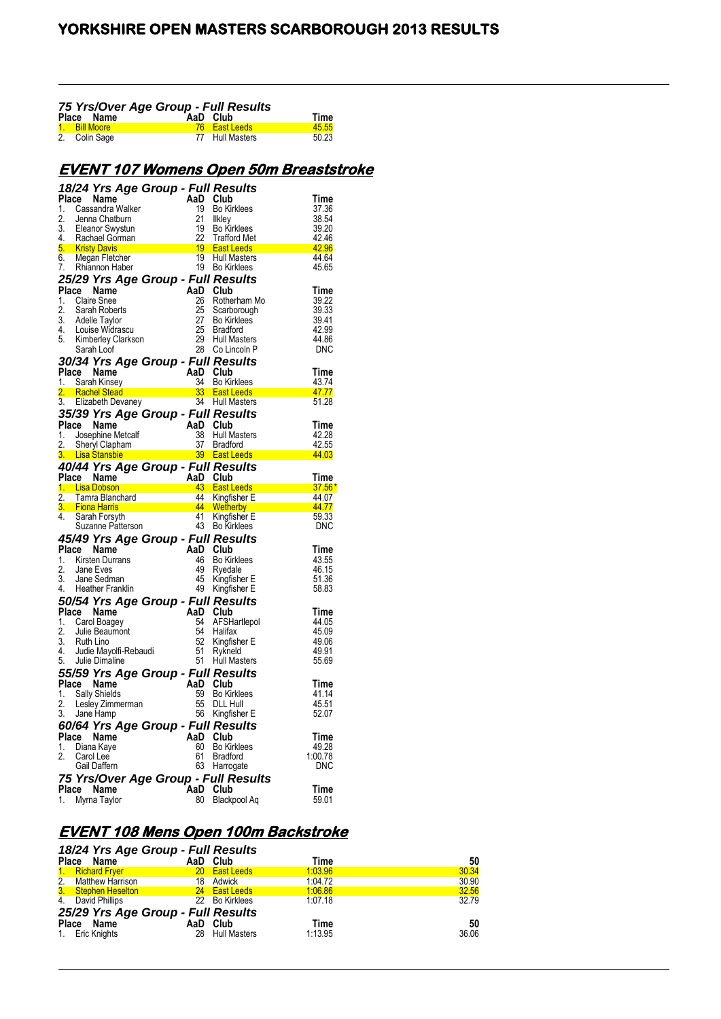| 75 Yrs/Over Age Group - Full Results |               |  |                      |       |  |
|--------------------------------------|---------------|--|----------------------|-------|--|
|                                      | Place Name    |  | AaD Club             | Time  |  |
|                                      | 1. Bill Moore |  | <b>76</b> East Leeds | 45.55 |  |
|                                      | 2. Colin Sage |  | 77 Hull Masters      | 50.23 |  |

## **EVENT 107 Womens Open 50m Breaststroke**

|             | 18/24 Yrs Age Group - Full Results         |           |                                          |                            |
|-------------|--------------------------------------------|-----------|------------------------------------------|----------------------------|
| Place       | Name                                       | AaD       | Club                                     | Time                       |
| 1.          | Cassandra Walker                           | 19        | <b>Bo Kirklees</b>                       | 37.36                      |
| 2.          | Jenna Chatburn                             | 21        | Ilkley                                   | 38.54                      |
| 3.          | Eleanor Swystun                            | 19        | <b>Bo Kirklees</b>                       | 39.20                      |
| 4.          | Rachael Gorman                             | 22        | <b>Trafford Met</b>                      | 42.46                      |
| 5.<br>6.    | <b>Kristy Davis</b><br>Megan Fletcher      | 19<br>19  | <b>East Leeds</b><br><b>Hull Masters</b> | $\frac{42.96}{ }$<br>44.64 |
| 7.          | Rhiannon Haber                             | 19        | <b>Bo Kirklees</b>                       | 45.65                      |
|             | 25/29 Yrs Age Group - Full Results         |           |                                          |                            |
| Place       | Name                                       | AaD       | Club                                     | Time                       |
| 1.          | <b>Claire Snee</b>                         | 26        | Rotherham Mo                             | 39.22                      |
| 2.          | Sarah Roberts                              | 25        | Scarborough                              | 39.33                      |
| 3.          | Adelle Taylor                              | 27        | <b>Bo Kirklees</b>                       | 39.41                      |
| 4.          | Louise Widrascu                            | 25        | <b>Bradford</b>                          | 42.99                      |
| 5.          | Kimberley Clarkson                         | 29        | <b>Hull Masters</b>                      | 44.86                      |
|             | Sarah Loof                                 | 28        | Co Lincoln P                             | DNC                        |
|             | 30/34 Yrs Age Group - Full Results         |           |                                          |                            |
| Place       | Name                                       | AaD       | Club                                     | Time                       |
| 1.<br>2.    | Sarah Kinsey<br><b>Rachel Stead</b>        | 34<br>33  | <b>Bo Kirklees</b><br><b>East Leeds</b>  | 43.74<br>47.77             |
| 3.          | Elizabeth Devaney                          | 34        | <b>Hull Masters</b>                      | 51.28                      |
|             | 35/39 Yrs Age Group - Full Results         |           |                                          |                            |
| Place       | Name                                       | AaD       | Club                                     | Time                       |
| 1.          | Josephine Metcalf                          | 38        | <b>Hull Masters</b>                      | 42.28                      |
| 2.          | Sheryl Clapham                             | 37        | Bradford                                 | 42.55                      |
|             | <b>Lisa Stansbie</b>                       | 39        | <b>East Leeds</b>                        | 44.03                      |
|             | 40/44 Yrs Age Group - Full Results         |           |                                          |                            |
| Place       | Name                                       | AaD       | Club                                     | Time                       |
| 1.          | <b>Lisa Dobson</b>                         | 43        | <b>East Leeds</b>                        | $37.56^{\circ}$            |
|             |                                            |           |                                          |                            |
| 2.          | Tamra Blanchard                            | 44        | Kingfisher E                             | 44.07                      |
|             | <b>Fiona Harris</b>                        | 44        | Wetherby                                 | 44.77                      |
| 4.          | Sarah Forsyth                              | 41        | Kingfisher E                             | 59.33                      |
|             | Suzanne Patterson                          | 43        | <b>Bo Kirklees</b>                       | <b>DNC</b>                 |
|             | 45/49 Yrs Age Group - Full Results         |           |                                          |                            |
| Place       | Name                                       | AaD       | Club                                     | Time                       |
| 1.          | Kirsten Durrans                            | 46        | <b>Bo Kirklees</b>                       | 43.55                      |
| 2.<br>3.    | Jane Eves<br>Jane Sedman                   | 49<br>45  | Ryedale                                  | 46.15                      |
| 4.          | Heather Franklin                           | 49        | Kingfisher E<br>Kingfisher E             | 51.36<br>58.83             |
|             |                                            |           |                                          |                            |
| Place       | 50/54 Yrs Age Group - Full Results<br>Name | AaD       | Club                                     | <b>Time</b>                |
| 1.          | Carol Boagey                               | 54        | AFSHartlepol                             | 44.05                      |
| 2.          | Julie Beaumont                             | 54        | Halifax                                  | 45.09                      |
| 3.          | Ruth Lino                                  | 52        | Kingfisher E                             | 49.06                      |
| 4.          | Judie Mayolfi-Rebaudi                      | 51        | Rykneld                                  | 49.91                      |
| 5.          | Julie Dimaline                             | 51        | <b>Hull Masters</b>                      | 55.69                      |
|             | 55/59 Yrs Age Group - Full Results         |           |                                          |                            |
| Place       | Name                                       | AaD       | Club                                     | Time                       |
| 1.          | Sally Shields                              | 59        | <b>Bo Kirklees</b>                       | 41.14                      |
| 2.<br>3.    | Lesley Zimmerman                           | 55<br>56  | <b>DLL Hull</b>                          | 45.51<br>52.07             |
|             | Jane Hamp                                  |           | Kingfisher E                             |                            |
|             | 60/64 Yrs Age Group - Full Results         |           |                                          |                            |
| Place<br>1. | Name<br>Diana Kaye                         | AaD<br>60 | Club<br><b>Bo Kirklees</b>               | Time<br>49.28              |
| 2.          | Carol Lee                                  | 61        | Bradford                                 | 1:00.78                    |
|             | Gail Daffern                               | 63        | Harrogate                                | DNC                        |
|             |                                            |           | 75 Yrs/Over Age Group - Full Results     |                            |
| Place<br>1. | Name<br>Myrna Taylor                       | AaD<br>80 | Club<br>Blackpool Aq                     | Time<br>59.01              |

# **EVENT 108 Mens Open 100m Backstroke**

| 18/24 Yrs Age Group - Full Results |           |                   |         |       |
|------------------------------------|-----------|-------------------|---------|-------|
| Place Name                         |           | AaD Club          | Time    | 50    |
| 1. Richard Fryer                   | <b>20</b> | <b>East Leeds</b> | 1:03.96 | 30.34 |
| 2. Matthew Harrison                |           | 18 Adwick         | 1.04.72 | 30.90 |
| 3. Stephen Heselton                |           | 24 East Leeds     | 1:06.86 | 32.56 |
| 4. David Phillips                  |           | 22 Bo Kirklees    | 1.07.18 | 32.79 |
| 25/29 Yrs Age Group - Full Results |           |                   |         |       |
| Place Name                         |           | AaD Club          | Time    | 50    |
| 1. Eric Knights                    |           | 28 Hull Masters   | 1:13.95 | 36.06 |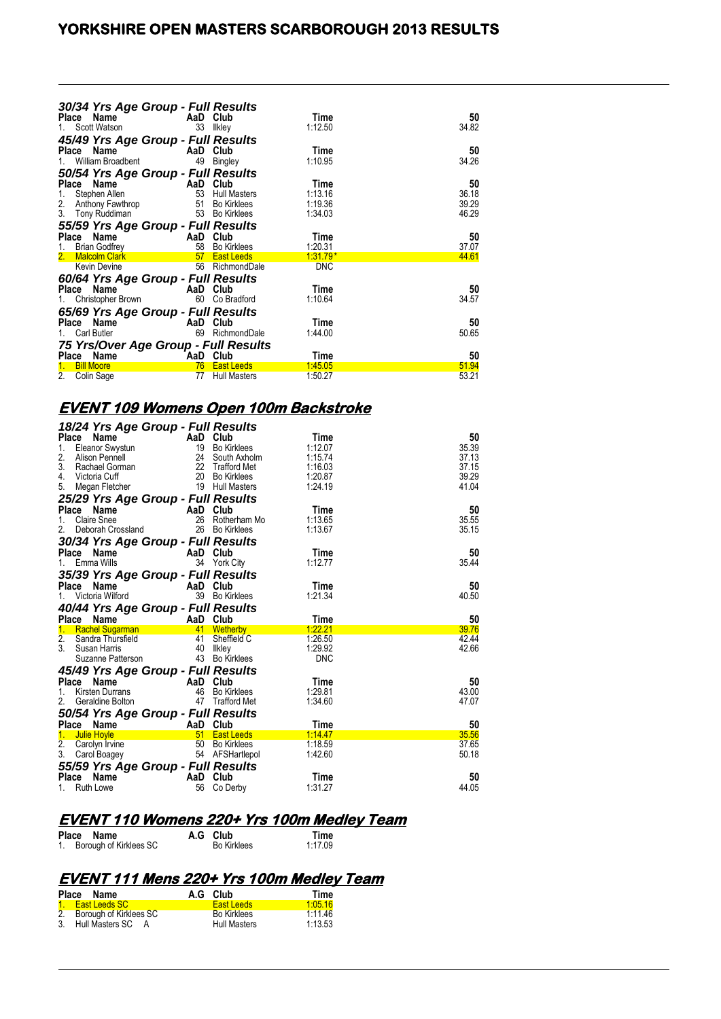## **YORKSHIRE OPEN MASTERS SCARBOROUGH 2013 RESULTS**

| 30/34 Yrs Age Group - Full Results   |          |                     |            |       |
|--------------------------------------|----------|---------------------|------------|-------|
| Place Name                           |          | AaD Club            | Time       | 50    |
| Scott Watson                         | 33       | Ilkley              | 1:12.50    | 34.82 |
| 45/49 Yrs Age Group - Full Results   |          |                     |            |       |
| Place Name                           | AaD Club |                     | Time       | 50    |
| William Broadbent                    | 49       | Bingley             | 1:10.95    | 34.26 |
| 50/54 Yrs Age Group - Full Results   |          |                     |            |       |
| Name<br>Place                        | AaD      | Club                | Time       | 50    |
| Stephen Allen<br>1.                  | 53       | <b>Hull Masters</b> | 1:13.16    | 36.18 |
| 2.<br>Anthony Fawthrop               | 51       | <b>Bo Kirklees</b>  | 1:19.36    | 39.29 |
| 3.<br>Tony Ruddiman                  | 53       | <b>Bo Kirklees</b>  | 1:34.03    | 46.29 |
| 55/59 Yrs Age Group - Full Results   |          |                     |            |       |
| Place<br>Name                        | AaD Club |                     | Time       | 50    |
| <b>Brian Godfrey</b><br>1.           | 58       | <b>Bo Kirklees</b>  | 1:20.31    | 37.07 |
| <b>Malcolm Clark</b><br>2.           | 57       | <b>East Leeds</b>   | $1:31.79*$ | 44.61 |
| <b>Kevin Devine</b>                  | 56       | RichmondDale        | <b>DNC</b> |       |
| 60/64 Yrs Age Group - Full Results   |          |                     |            |       |
| Place Name                           | AaD Club |                     | Time       | 50    |
| Christopher Brown                    | 60       | Co Bradford         | 1:10.64    | 34.57 |
| 65/69 Yrs Age Group - Full Results   |          |                     |            |       |
| Place Name                           | AaD      | Club                | Time       | 50    |
| Carl Butler                          | 69       | RichmondDale        | 1:44.00    | 50.65 |
| 75 Yrs/Over Age Group - Full Results |          |                     |            |       |
| Place<br>Name                        | AaD      | Club                | Time       | 50    |
| <b>Bill Moore</b>                    | 76       | <b>East Leeds</b>   | 1:45.05    | 51.94 |
| 2.<br>Colin Sage                     | 77       | <b>Hull Masters</b> | 1:50.27    | 53.21 |

#### **EVENT 109 Womens Open 100m Backstroke**

| 18/24 Yrs Age Group - Full Results                      |           |                                           |                    |                |
|---------------------------------------------------------|-----------|-------------------------------------------|--------------------|----------------|
| Name<br>Place                                           | AaD Club  |                                           | Time               | 50             |
| 1.<br>Eleanor Swystun                                   | 19        | <b>Bo Kirklees</b>                        | 1:12.07            | 35.39          |
| 2.<br>Alison Pennell                                    | 24        | South Axholm                              | 1:15.74            | 37.13          |
| 3.<br>Rachael Gorman                                    | 22<br>20  | <b>Trafford Met</b>                       | 1:16.03            | 37.15<br>39.29 |
| 4.<br>Victoria Cuff<br>5.<br>Megan Fletcher             | 19        | <b>Bo Kirklees</b><br><b>Hull Masters</b> | 1:20.87<br>1:24.19 | 41.04          |
|                                                         |           |                                           |                    |                |
| 25/29 Yrs Age Group - Full Results<br>Place<br>Name     | AaD Club  |                                           | Time               | 50             |
| Claire Snee<br>1.                                       | 26        | Rotherham Mo                              | 1:13.65            | 35.55          |
| 2.<br>Deborah Crossland                                 | 26        | <b>Bo Kirklees</b>                        | 1:13.67            | 35.15          |
| 30/34 Yrs Age Group - Full Results                      |           |                                           |                    |                |
| Place<br>Name                                           | AaD Club  |                                           | Time               | 50             |
| Emma Wills<br>1.                                        |           | 34 York City                              | 1:12.77            | 35.44          |
| 35/39 Yrs Age Group - Full Results                      |           |                                           |                    |                |
| Name<br>Place                                           | AaD       | Club                                      | Time               | 50             |
| Victoria Wilford<br>1.                                  | 39        | <b>Bo Kirklees</b>                        | 1:21.34            | 40.50          |
|                                                         |           |                                           |                    |                |
|                                                         |           |                                           |                    |                |
| 40/44 Yrs Age Group - Full Results                      |           |                                           |                    |                |
| Place<br>Name                                           | AaD Club  |                                           | Time               | 50             |
| $1_{-}$<br><b>Rachel Sugarman</b>                       |           | 41 Wetherby                               | 1:22.21            | 39.76          |
| 2.<br>Sandra Thursfield<br>$\mathbf{3}$<br>Susan Harris | 41<br>40  | Sheffield C<br>Ilkley                     | 1:26.50<br>1:29.92 | 42.44<br>42.66 |
| Suzanne Patterson                                       |           | 43 Bo Kirklees                            | <b>DNC</b>         |                |
|                                                         |           |                                           |                    |                |
| 45/49 Yrs Age Group - Full Results<br>Place<br>Name     | AaD       | Club                                      | Time               | 50             |
| <b>Kirsten Durrans</b><br>1.                            | 46        | <b>Bo Kirklees</b>                        | 1:29.81            | 43.00          |
| 2.<br>Geraldine Bolton                                  | 47        | <b>Trafford Met</b>                       | 1:34.60            | 47.07          |
|                                                         |           |                                           |                    |                |
| 50/54 Yrs Age Group - Full Results<br>Place Name        | AaD Club  |                                           | Time               | 50             |
| $1_{-}$<br><b>Julie Hoyle</b>                           | 51        | <b>East Leeds</b>                         | 1.14.47            | 35.56          |
| 2.<br>Carolyn Irvine                                    | 50        | <b>Bo Kirklees</b>                        | 1:18.59            | 37.65          |
| 3.<br>Carol Boagey                                      |           | 54 AFSHartlepol                           | 1:42.60            | 50.18          |
| 55/59 Yrs Age Group - Full Results                      |           |                                           |                    |                |
| <b>Place</b><br>Name<br><b>Ruth Lowe</b><br>1.          | AaD<br>56 | Club<br>Co Derby                          | Time<br>1:31.27    | 50<br>44.05    |

# **EVENT 110 Womens 220+ Yrs 100m Medley Team**<br>Place Name A.G Club Time<br>1. Borough of Kirklees SC Bo Kirklees 1:17.09

**Place Name A.G Club Time** 1. Borough of Kirklees SC Bo Kirklees 1:17.09

## **EVENT 111 Mens 220+ Yrs 100m Medley Team**

| Place Name                | A.G Club            | Time    |
|---------------------------|---------------------|---------|
| 1. East Leeds SC          | <b>East Leeds</b>   | 1.0516  |
| 2. Borough of Kirklees SC | <b>Bo Kirklees</b>  | 1:1146  |
| 3. Hull Masters SC A      | <b>Hull Masters</b> | 1:13.53 |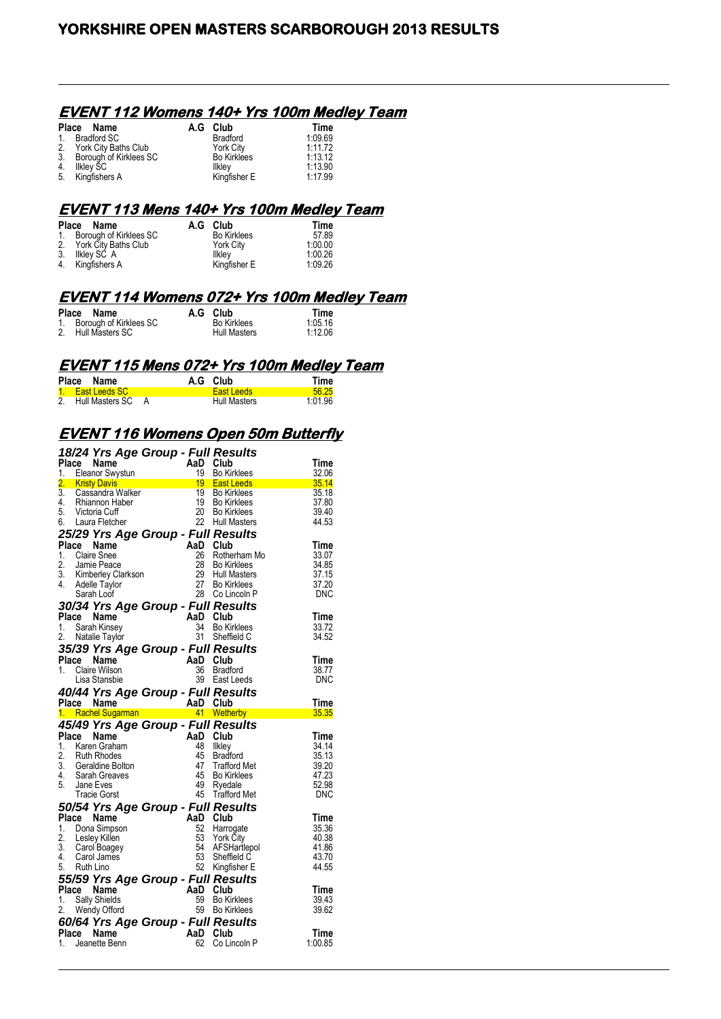#### **EVENT 112 Womens 140+ Yrs 100m Medley Team**

|                | Place Name              | A.G Club           | Time    |
|----------------|-------------------------|--------------------|---------|
| $\mathbf{1}$ . | <b>Bradford SC</b>      | Bradford           | 1:09.69 |
|                | 2. York City Baths Club | York City          | 1:11.72 |
| 3.             | Borough of Kirklees SC  | <b>Bo Kirklees</b> | 1:13.12 |
| 4.             | Ilkley SC               | Ilkley             | 1:13.90 |
| 5.             | Kingfishers A           | Kingfisher E       | 1:17.99 |

## **EVENT 113 Mens 140+ Yrs 100m Medley Team**

| Place Name                | A.G Club           | Time    |
|---------------------------|--------------------|---------|
| 1. Borough of Kirklees SC | <b>Bo Kirklees</b> | 57.89   |
| 2. York City Baths Club   | <b>York City</b>   | 1:00.00 |
| 3. Ilkley SC A            | <b>Ilkley</b>      | 1.00.26 |
| 4. Kingfishers A          | Kingfisher E       | 1.09.26 |

#### **EVENT 114 Womens 072+ Yrs 100m Medley Team**

| Place Name                | A.G Club            | Time    |
|---------------------------|---------------------|---------|
| 1. Borough of Kirklees SC | <b>Bo Kirklees</b>  | 1:05.16 |
| 2. Hull Masters SC        | <b>Hull Masters</b> | 1:12.06 |

#### **EVENT 115 Mens 072+ Yrs 100m Medley Team**

| Place | Name               |  | A.G Club          | Time    |
|-------|--------------------|--|-------------------|---------|
|       | 1. East Leeds SC   |  | <b>East Leeds</b> | 56.25   |
|       | 2. Hull Masters SC |  | Hull Masters      | 1 01 96 |

#### **EVENT 116 Womens Open 50m Butterfly**

|                  | 18/24 Yrs Age Group - Full Results         |          |                     |            |
|------------------|--------------------------------------------|----------|---------------------|------------|
| <b>Place</b>     | <b>Name</b>                                | AaD      | Club                | Time       |
| 1.               | <b>Eleanor Swystun</b>                     | 19       | <b>Bo Kirklees</b>  | 32.06      |
| 2.               | <b>Kristy Davis</b>                        | $19-19$  | <b>East Leeds</b>   | 35.14      |
| $\overline{3}$ . | Cassandra Walker                           | 19       | <b>Bo Kirklees</b>  | 35.18      |
| 4.               | Rhiannon Haber                             | 19       | <b>Bo Kirklees</b>  | 37.80      |
| 5.               | Victoria Cuff                              | 20       | <b>Bo Kirklees</b>  | 39.40      |
| 6.               | Laura Fletcher                             | 22       | <b>Hull Masters</b> | 44.53      |
|                  | 25/29 Yrs Age Group - Full Results         |          |                     |            |
| Place            | Name                                       | AaD Club |                     | Time       |
| 1.               | Claire Snee                                | 26       | Rotherham Mo        | 33.07      |
| 2.               | Jamie Peace                                | 28       | <b>Bo Kirklees</b>  | 34.85      |
| 3.               | Kimberley Clarkson                         | 29       | <b>Hull Masters</b> | 37.15      |
| 4.               | Adelle Taylor                              | 27       | <b>Bo Kirklees</b>  | 37.20      |
|                  | Sarah Loof                                 | 28       | Co Lincoln P        | <b>DNC</b> |
|                  | 30/34 Yrs Age Group - Full Results         |          |                     |            |
|                  | Place Name                                 | AaD      | Club                | Time       |
| 1.               | Sarah Kinsey                               | 34       | <b>Bo Kirklees</b>  | 33.72      |
| 2.               | Natalie Taylor                             | 31       | Sheffield C         | 34.52      |
|                  | 35/39 Yrs Age Group - Full Results         |          |                     |            |
| Place            | Name                                       | AaD      | Club                | Time       |
| 1.               | Claire Wilson                              | 36       | <b>Bradford</b>     | 38.77      |
|                  | Lisa Stansbie                              | 39       | East Leeds          | DNC        |
|                  | 40/44 Yrs Age Group - Full Results         |          |                     |            |
|                  |                                            |          |                     |            |
|                  | Place Name                                 | AaD Club |                     | Time       |
|                  | 1. Rachel Sugarman                         |          | 41 Wetherby         | 35.35      |
|                  |                                            |          |                     |            |
| Place            | 45/49 Yrs Age Group - Full Results<br>Name | AaD      | Club                | Time       |
| 1.               | Karen Graham                               | 48       | Ilkley              | 34.14      |
| 2.               | <b>Ruth Rhodes</b>                         | 45       | <b>Bradford</b>     | 35.13      |
| 3.               | Geraldine Bolton                           | 47       | <b>Trafford Met</b> | 39.20      |
| 4.               | Sarah Greaves                              | 45       | <b>Bo Kirklees</b>  | 47.23      |
| 5.               | Jane Eves                                  | 49       | Ryedale             | 52.98      |
|                  | <b>Tracie Gorst</b>                        |          | 45 Trafford Met     | DNC        |
|                  | 50/54 Yrs Age Group - Full Results         |          |                     |            |
| Place            | Name                                       | AaD Club |                     | Time       |
| 1.               | Dona Simpson                               | 52       | Harrogate           | 35.36      |
| 2.               | Lesley Killen                              | 53       | York City           | 40.38      |
| 3.               | Carol Boagey                               | 54       | AFSHartlepol        | 41.86      |
| 4.               | Carol James                                | 53       | Sheffield C         | 43.70      |
| 5.               | Ruth Lino                                  | 52       | Kingfisher E        | 44.55      |
|                  | 55/59 Yrs Age Group - Full Results         |          |                     |            |
| Place            | <b>Name</b>                                | AaD      | Club                | Time       |
| 1.               | Sally Shields                              | 59       | <b>Bo Kirklees</b>  | 39.43      |
| 2.               | Wendy Offord                               | 59       | <b>Bo Kirklees</b>  | 39.62      |
|                  | 60/64 Yrs Age Group - Full Results         |          |                     |            |
| Place            | Name                                       | AaD      | Club                | Time       |
| 1.               | Jeanette Benn                              | 62       | Co Lincoln P        | 1:00.85    |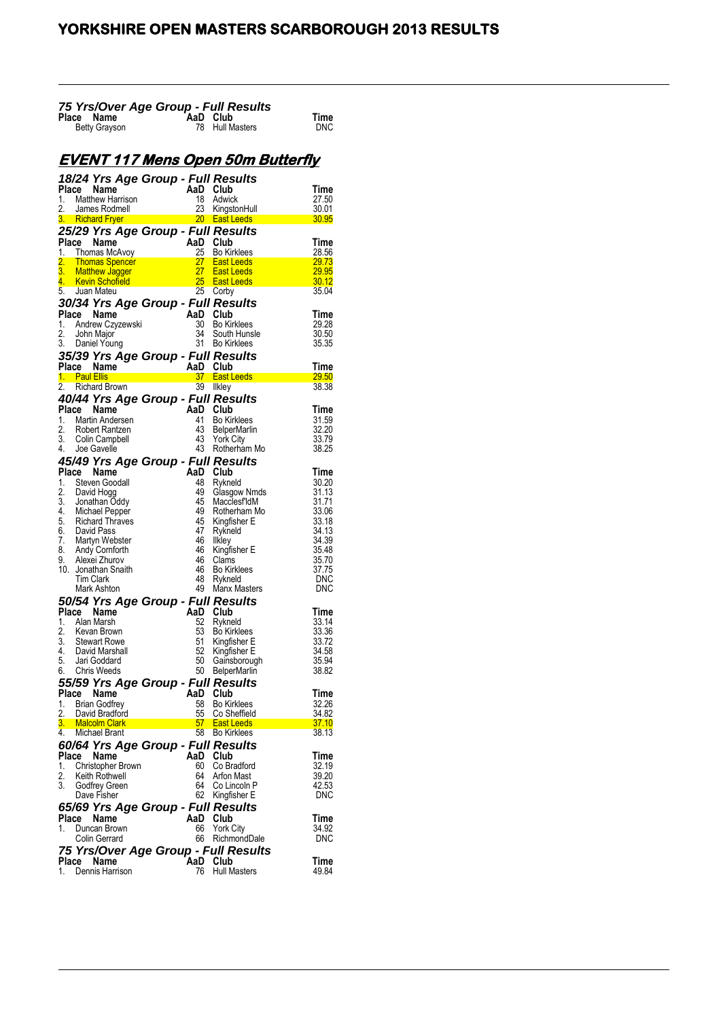| 75 Yrs/Over Age Group - Full Results |  |                 |      |  |  |  |
|--------------------------------------|--|-----------------|------|--|--|--|
| Place Name                           |  | AaD Club        | Time |  |  |  |
| <b>Betty Grayson</b>                 |  | 78 Hull Masters | DNC  |  |  |  |

# **EVENT 117 Mens Open 50m Butterfly**

|             | 18/24 Yrs Age Group - Full Results                                                                                                                                                                                                                     |                                                                                                                    |          |                                                          |                |
|-------------|--------------------------------------------------------------------------------------------------------------------------------------------------------------------------------------------------------------------------------------------------------|--------------------------------------------------------------------------------------------------------------------|----------|----------------------------------------------------------|----------------|
| Place       | <b>Place Name AaD Club</b><br>1. Matthew Harrison 18 Adwick<br>2. James Rodmell 23 KingstonHul<br>3. Richard Fryer 20 East Leeds                                                                                                                       |                                                                                                                    | AaD Club |                                                          | Time           |
|             |                                                                                                                                                                                                                                                        |                                                                                                                    |          |                                                          | 27.50          |
|             |                                                                                                                                                                                                                                                        |                                                                                                                    |          | KingstonHull                                             | 30.01          |
|             |                                                                                                                                                                                                                                                        |                                                                                                                    |          |                                                          | 30.95          |
|             | 25/29 Yrs Age Group - Full Results                                                                                                                                                                                                                     |                                                                                                                    |          |                                                          |                |
|             | Place Name<br>1. Thomas McAvoy<br>2. Thomas Spencer<br>2. Thomas Spencer<br>2. Thomas Spencer<br>2. Thomas Spencer<br>2. Thomas Spencer<br>2. Thomas Spencer<br>2. Thomas Spencer<br>2. Thomas Spencer<br>2. Thomas Spencer<br>2. Thomas Spencer<br>2. |                                                                                                                    |          |                                                          | Time           |
|             |                                                                                                                                                                                                                                                        |                                                                                                                    |          |                                                          | 28.56          |
|             |                                                                                                                                                                                                                                                        |                                                                                                                    |          |                                                          | 29.73<br>29.95 |
|             |                                                                                                                                                                                                                                                        |                                                                                                                    |          |                                                          | 30.12          |
|             | 5. Juan Mateu                                                                                                                                                                                                                                          |                                                                                                                    |          | 25 Corby                                                 | 35.04          |
|             | <b>30/34 Yrs Age Group - Full Results<br/> Place Name AaD Club<br/> 1. Andrew Czyzewski 30 Bo Kirklees<br/> 2. John Major 34 South Hunsle<br/> 3. Daniel Young 31 Bo Kirklees</b>                                                                      |                                                                                                                    |          |                                                          |                |
|             |                                                                                                                                                                                                                                                        |                                                                                                                    |          |                                                          | Time           |
|             |                                                                                                                                                                                                                                                        |                                                                                                                    |          |                                                          | 29.28          |
|             |                                                                                                                                                                                                                                                        |                                                                                                                    |          | South Hunsle                                             | 30.50          |
|             | 3. Daniel Young                                                                                                                                                                                                                                        |                                                                                                                    |          | 31 Bo Kirklees                                           | 35.35          |
|             | 35/39 Yrs Age Group - Full Results                                                                                                                                                                                                                     |                                                                                                                    |          |                                                          |                |
|             |                                                                                                                                                                                                                                                        |                                                                                                                    |          |                                                          | Time           |
|             | Place Name (and AaD Club)<br>1. Paul Ellis (and Annual Annual State)<br>27 East L                                                                                                                                                                      |                                                                                                                    |          | 37 East Leeds <b>Contract Contract Contract Contract</b> | <b>29.50</b>   |
|             | 2. Richard Brown                                                                                                                                                                                                                                       |                                                                                                                    | 39       | Ilkley                                                   | 38.38          |
|             | 40/44 Yrs Age Group - Full Results                                                                                                                                                                                                                     | $\begin{array}{c}\n\text{Hilq}\n\text{Hilq}\n\end{array}$ AaD Club<br>$\begin{array}{c}\n\text{Hilq}\n\end{array}$ |          |                                                          |                |
|             | Place Name                                                                                                                                                                                                                                             |                                                                                                                    |          |                                                          | Time           |
| 1.          | Martin Andersen                                                                                                                                                                                                                                        |                                                                                                                    |          | <b>Bo Kirklees</b>                                       | 31.59          |
|             | 2. Robert Rantzen<br>3. Colin Campbell                                                                                                                                                                                                                 |                                                                                                                    |          | <b>BelperMarlin</b>                                      | 32.20          |
|             |                                                                                                                                                                                                                                                        |                                                                                                                    |          | 43 York City                                             | 33.79          |
|             | 4. Joe Gavelle                                                                                                                                                                                                                                         |                                                                                                                    |          | 43 Rotherham Mo                                          | 38.25          |
|             | 45/49 Yrs Age Group - Full Results                                                                                                                                                                                                                     |                                                                                                                    |          |                                                          |                |
|             | Place Name                                                                                                                                                                                                                                             |                                                                                                                    | AaD Club |                                                          | Time           |
| 1.          | Steven Goodall                                                                                                                                                                                                                                         |                                                                                                                    | 48       | Rykneld                                                  | 30.20          |
|             | 1. Development<br>2. David Hogg<br>3. Jonathan Oddy<br>4. Michael Pepper<br>5. Richard Thraves<br>7. Martyn Webster<br>8. Andy Cornforth<br>9. Alexei Zhurov<br>9. Nexei Zhurov<br>5. Shexis                                                           |                                                                                                                    | 49       | Glasgow Nmds                                             | 31.13          |
|             |                                                                                                                                                                                                                                                        |                                                                                                                    | 45<br>49 | Macclesf'ldM                                             | 31.71          |
|             |                                                                                                                                                                                                                                                        |                                                                                                                    | 45       | Rotherham Mo<br>Kingfisher E                             | 33.06<br>33.18 |
|             |                                                                                                                                                                                                                                                        |                                                                                                                    | 47       | Rykneld                                                  | 34.13          |
|             |                                                                                                                                                                                                                                                        |                                                                                                                    | 46       | Ilkley                                                   | 34.39          |
|             |                                                                                                                                                                                                                                                        |                                                                                                                    | 46       | Kingfisher E                                             | 35.48          |
|             |                                                                                                                                                                                                                                                        |                                                                                                                    | 46       | Clams                                                    | 35.70          |
|             | 10. Jonathan Snaith                                                                                                                                                                                                                                    |                                                                                                                    | 46       | <b>Bo Kirklees</b>                                       | 37.75          |
|             | Tim Clark                                                                                                                                                                                                                                              |                                                                                                                    | 48       | Rykneld                                                  | <b>DNC</b>     |
|             | Mark Ashton                                                                                                                                                                                                                                            |                                                                                                                    | 49       | Manx Masters                                             | DNC            |
|             | 50/54 Yrs Age Group - Full Results                                                                                                                                                                                                                     |                                                                                                                    |          |                                                          |                |
|             | Place Name                                                                                                                                                                                                                                             |                                                                                                                    | AaD Club |                                                          | Time           |
| 1.          | Alan Marsh                                                                                                                                                                                                                                             |                                                                                                                    | 52<br>53 | Rykneld                                                  | 33.14<br>33.36 |
|             | 2. Kevan Brown<br>3. Stewart Rowe                                                                                                                                                                                                                      |                                                                                                                    | 51       | <b>Bo Kirklees</b><br>Kingfisher E                       | 33.72          |
| 4.          | David Marshall                                                                                                                                                                                                                                         |                                                                                                                    |          | 52 Kingfisher E                                          | 34.58          |
|             | 5. Jari Goddard                                                                                                                                                                                                                                        |                                                                                                                    | 50       | Gainsborough                                             | 35.94          |
| 6.          | Chris Weeds                                                                                                                                                                                                                                            |                                                                                                                    |          | 50 BelperMarlin                                          | 38.82          |
|             | 55/59 Yrs Age Group - Full Results                                                                                                                                                                                                                     |                                                                                                                    |          |                                                          |                |
|             | Place Name                                                                                                                                                                                                                                             |                                                                                                                    | AaD Club |                                                          | Time           |
| 1.          | <b>Brian Godfrey</b>                                                                                                                                                                                                                                   |                                                                                                                    | 58       | <b>Bo Kirklees</b>                                       | 32.26          |
|             | 2. David Bradford                                                                                                                                                                                                                                      |                                                                                                                    |          | 55 Co Sheffield                                          | 34.82          |
| 3.          | <b>Malcolm Clark</b>                                                                                                                                                                                                                                   |                                                                                                                    |          | 57 East Leeds                                            | 37.10          |
| 4.          | Michael Brant                                                                                                                                                                                                                                          |                                                                                                                    | 58       | <b>Bo Kirklees</b>                                       | 38.13          |
|             | 60/64 Yrs Age Group - Full Results                                                                                                                                                                                                                     |                                                                                                                    |          |                                                          |                |
| Place       | Name                                                                                                                                                                                                                                                   |                                                                                                                    | AaD      | Club                                                     | Time           |
| 1.          | Christopher Brown                                                                                                                                                                                                                                      |                                                                                                                    | 60       | Co Bradford                                              | 32.19          |
| 2.<br>3.    | Keith Rothwell<br>Godfrey Green                                                                                                                                                                                                                        |                                                                                                                    | 64<br>64 | Arfon Mast<br>Co Lincoln P                               | 39.20<br>42.53 |
|             | Dave Fisher                                                                                                                                                                                                                                            |                                                                                                                    | 62       | Kingfisher E                                             | DNC            |
|             |                                                                                                                                                                                                                                                        |                                                                                                                    |          |                                                          |                |
|             | 65/69 Yrs Age Group - Full Results                                                                                                                                                                                                                     |                                                                                                                    | AaD      |                                                          |                |
| Place<br>1. | Name<br>Duncan Brown                                                                                                                                                                                                                                   |                                                                                                                    | 66       | Club<br><b>York City</b>                                 | Time<br>34.92  |
|             | Colin Gerrard                                                                                                                                                                                                                                          |                                                                                                                    | 66       | RichmondDale                                             | DNC            |
|             |                                                                                                                                                                                                                                                        |                                                                                                                    |          | 75 Yrs/Over Age Group - Full Results                     |                |
|             | Place Name                                                                                                                                                                                                                                             |                                                                                                                    | AaD      | Club                                                     | Time           |
| 1.          | Dennis Harrison                                                                                                                                                                                                                                        |                                                                                                                    | 76       | <b>Hull Masters</b>                                      | 49.84          |
|             |                                                                                                                                                                                                                                                        |                                                                                                                    |          |                                                          |                |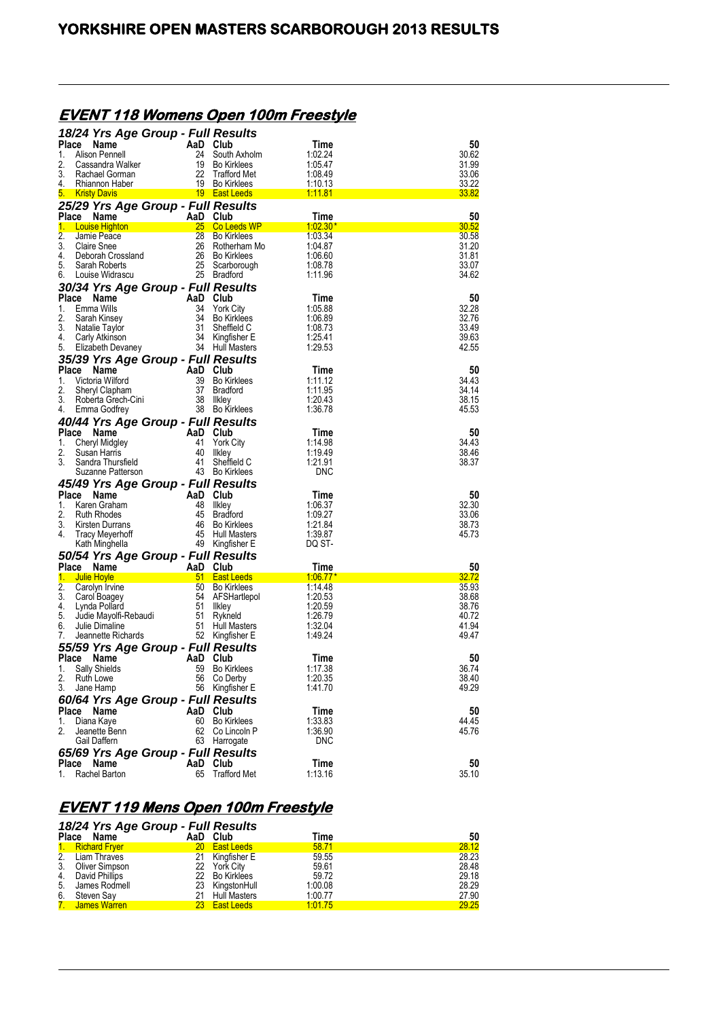# **EVENT 118 Womens Open 100m Freestyle**

|              | 18/24 Yrs Age Group - Full Results         |          |                                           |                    |                |
|--------------|--------------------------------------------|----------|-------------------------------------------|--------------------|----------------|
| Place        | <b>Name</b>                                | AaD Club |                                           | Time               | 50             |
| 1.           | Alison Pennell                             | 24       | South Axholm                              | 1.02.24            | 30.62          |
| 2.<br>3.     | Cassandra Walker<br>Rachael Gorman         | 19<br>22 | <b>Bo Kirklees</b>                        | 1:05.47<br>1.08.49 | 31.99<br>33.06 |
| 4.           | Rhiannon Haber                             | 19       | <b>Trafford Met</b><br><b>Bo Kirklees</b> | 1:10.13            | 33.22          |
| <u>5. L</u>  | <b>Kristy Davis</b>                        |          | 19 East Leeds                             | 1:11.81            | 33.82          |
|              | 25/29 Yrs Age Group - Full Results         |          |                                           |                    |                |
|              | Place Name                                 | AaD Club |                                           | Time               | 50             |
| $1 -$        | <b>Louise Highton</b>                      | 25       | Co Leeds WP                               | $1.02.30*$         | 30.52          |
| 2.           | Jamie Peace                                | 28       | <b>Bo Kirklees</b>                        | 1.03.34            | 30.58          |
| 3.           | <b>Claire Snee</b>                         | 26       | Rotherham Mo                              | 1.04.87            | 31.20          |
| 4.           | Deborah Crossland                          | 26       | <b>Bo Kirklees</b>                        | 1:06.60            | 31.81          |
| 5.           | Sarah Roberts                              | 25       | Scarborough                               | 1:08.78            | 33.07          |
| 6.           | Louise Widrascu                            |          | 25 Bradford                               | 1.11.96            | 34.62          |
|              | 30/34 Yrs Age Group - Full Results         |          |                                           |                    |                |
|              | Place Name                                 | AaD      | Club                                      | Time               | 50             |
| 1.           | Emma Wills                                 | 34       | <b>York City</b>                          | 1:05.88            | 32.28          |
| 2.           | Sarah Kinsey                               | 34       | <b>Bo Kirklees</b>                        | 1:06.89            | 32.76          |
| 3.<br>4.     | Natalie Taylor                             | 31<br>34 | Sheffield C                               | 1.08.73<br>1:25.41 | 33.49<br>39.63 |
| 5.           | Carly Atkinson<br>Elizabeth Devaney        |          | Kingfisher E<br>34 Hull Masters           | 1.29.53            | 42.55          |
|              |                                            |          |                                           |                    |                |
| <b>Place</b> | 35/39 Yrs Age Group - Full Results<br>Name | AaD      | Club                                      | Time               | 50             |
| 1.           | Victoria Wilford                           | 39       | <b>Bo Kirklees</b>                        | 1:11.12            | 34.43          |
| 2.           | Sheryl Clapham                             | 37       | <b>Bradford</b>                           | 1:11.95            | 34.14          |
| 3.           | Roberta Grech-Cini                         | 38       | llkley                                    | 1.20.43            | 38.15          |
| 4.           | Emma Godfrey                               |          | 38 Bo Kirklees                            | 1:36.78            | 45.53          |
|              | 40/44 Yrs Age Group - Full Results         |          |                                           |                    |                |
|              | Place<br><b>Name</b>                       | AaD      | Club                                      | Time               | 50             |
| 1.           | Cheryl Midgley                             | 41       | <b>York City</b>                          | 1:14.98            | 34.43          |
| 2.           | Susan Harris                               | 40       | likley                                    | 1.19.49            | 38.46          |
| 3.           | Sandra Thursfield                          | 41       | Sheffield C                               | 1:21.91            | 38.37          |
|              | Suzanne Patterson                          |          | 43 Bo Kirklees                            | DNC                |                |
|              | 45/49 Yrs Age Group - Full Results         |          |                                           |                    |                |
|              | Place<br>Name                              | AaD      | Club                                      | Time               | 50             |
| 1.           | Karen Graham                               | 48       | likley                                    | 1:06.37            | 32.30          |
| 2.           | <b>Ruth Rhodes</b>                         | 45       | <b>Bradford</b>                           |                    |                |
| 3.           |                                            |          |                                           | 1:09.27            | 33.06          |
|              | Kirsten Durrans                            | 46       | <b>Bo Kirklees</b>                        | 1.21.84            | 38.73          |
| 4.           | <b>Tracy Meyerhoff</b>                     | 45       | <b>Hull Masters</b>                       | 1:39.87            | 45.73          |
|              | Kath Minghella                             |          | 49 Kingfisher E                           | DQ ST-             |                |
|              | 50/54 Yrs Age Group - Full Results         |          |                                           |                    |                |
| <b>Place</b> | Name                                       | AaD      | Club                                      | Time               | 50             |
| 1.           | Julie Hoyle                                | 51       | <b>East Leeds</b>                         | 1.06.77            | 32.72          |
| 2.<br>3.     | Carolyn Irvine                             | 50<br>54 | <b>Bo Kirklees</b><br>AFSHartlepol        | 1.14.48<br>1:20.53 | 35.93<br>38.68 |
| 4.           | Carol Boagey<br>Lynda Pollard              | 51       | llkley                                    | 1:20.59            | 38.76          |
| 5.           | Judie Mayolfi-Rebaudi                      | 51       | Rykneld                                   | 1.26.79            | 40.72          |
| 6.           | Julie Dimaline                             | 51       | <b>Hull Masters</b>                       | 1.32.04            | 41.94          |
| 7.           | Jeannette Richards                         |          | 52 Kingfisher E                           | 1.49.24            | 49.47          |
|              | 55/59 Yrs Age Group - Full Results         |          |                                           |                    |                |
| Place        | Name                                       | AaD      | Club                                      | Time               | 50             |
| 1.           | <b>Sally Shields</b>                       | 59       | <b>Bo Kirklees</b>                        | 1:17.38            | 36.74          |
| 2.           | <b>Ruth Lowe</b>                           |          | 56 Co Derby                               | 1:20.35            | 38.40          |
| 3.           | Jane Hamp                                  |          | 56 Kingfisher E                           | 1.41.70            | 49.29          |
|              | 60/64 Yrs Age Group - Full Results         |          |                                           |                    |                |
| Place        | Name                                       | AaD      | Club                                      | Time               | 50             |
| 1.           | Diana Kaye                                 | 60       | Bo Kirklees                               | 1:33.83            | 44.45          |
| 2.           | Jeanette Benn                              | 62       | Co Lincoln P                              | 1.36.90            | 45.76          |
|              | Gail Daffern                               |          | 63 Harrogate                              | DNC                |                |
|              | 65/69 Yrs Age Group - Full Results         |          |                                           |                    |                |
| 1.           | Place Name<br>Rachel Barton                | AaD      | Club<br>65 Trafford Met                   | Time<br>1:13.16    | 50<br>35.10    |

## **EVENT 119 Mens Open 100m Freestyle**

|    | 18/24 Yrs Age Group - Full Results |                 |                   |         |       |
|----|------------------------------------|-----------------|-------------------|---------|-------|
|    | Place Name                         | AaD Club        |                   | Time    | 50    |
|    | 1. Richard Fryer                   | 20 <sub>1</sub> | <b>East Leeds</b> | 58.71   | 28.12 |
|    | 2. Liam Thraves                    | 21              | Kingfisher E      | 59.55   | 28.23 |
| 3. | Oliver Simpson                     |                 | 22 York City      | 59.61   | 28.48 |
| 4. | David Phillips                     |                 | 22 Bo Kirklees    | 59.72   | 29.18 |
|    | 5. James Rodmell                   |                 | 23 KingstonHull   | 1:00.08 | 28.29 |
| 6. | Steven Say                         | 21              | Hull Masters      | 1:00.77 | 27.90 |
|    | 7 James Warren                     | 23              | <b>East Leeds</b> | 1:01.75 | 29.25 |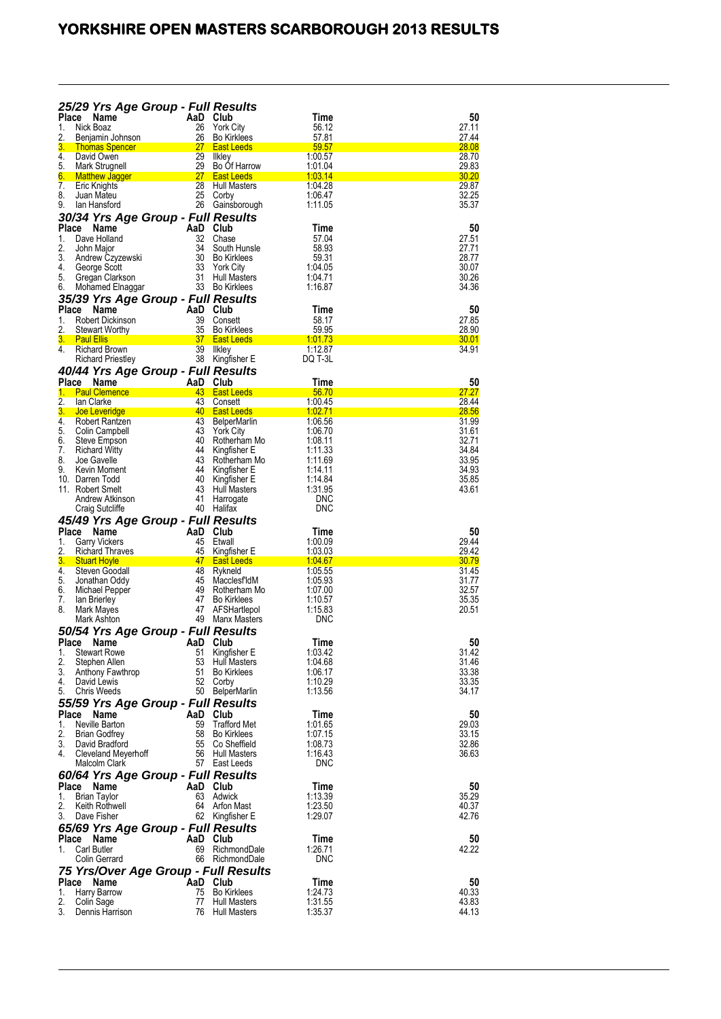|                    |                                            | 25/29 Yrs Age Group - Full Results        |                                                                  |                            |                |
|--------------------|--------------------------------------------|-------------------------------------------|------------------------------------------------------------------|----------------------------|----------------|
| <b>Place</b>       | Name                                       | AaD Club                                  |                                                                  | Time                       | 50             |
| 1.<br>2.           | Nick Boaz<br>Benjamin Johnson              | 26<br>26                                  | <b>York City</b><br><b>Bo Kirklees</b>                           | 56.12<br>57.81             | 27.11<br>27.44 |
| 3.                 | <b>Thomas Spencer</b>                      | 27                                        | <b>East Leeds</b>                                                | 59.57                      | <b>28.08</b>   |
| 4.                 | David Owen                                 | 29                                        | Ilkley                                                           | 1:00.57                    | 28.70          |
| 5.<br>6.           | Mark Strugnell<br><b>Matthew Jagger</b>    | 29<br>27                                  | Bo Of Harrow<br><b>East Leeds</b>                                | 1.01.04<br><u> 1:03.14</u> | 29.83<br>30.20 |
| 7.                 | Eric Knights                               | 28                                        | <b>Hull Masters</b>                                              | 1.04.28                    | 29.87          |
| 8.                 | Juan Mateu                                 | 25                                        | Corby                                                            | 1.06.47                    | 32.25          |
| 9.                 | lan Hansford                               |                                           | 26 Gainsborough                                                  | 1:11.05                    | 35.37          |
|                    |                                            | 30/34 Yrs Age Group - Full Results<br>AaD | Club                                                             | Time                       |                |
| <b>Place</b><br>1. | Name<br>Dave Holland                       | 32                                        | Chase                                                            | 57.04                      | 50<br>27.51    |
| 2.                 | John Major                                 | 34                                        | South Hunsle                                                     | 58.93                      | 27.71          |
| 3.                 | Andrew Czyzewski                           | 30                                        | <b>Bo Kirklees</b>                                               | 59.31                      | 28.77          |
| 4.<br>5.           | George Scott<br>Gregan Clarkson            | 33<br>31                                  | <b>York City</b><br><b>Hull Masters</b>                          | 1:04.05<br>1:04.71         | 30.07<br>30.26 |
| 6.                 | Mohamed Elnaggar                           |                                           | 33 Bo Kirklees                                                   | 1:16.87                    | 34.36          |
|                    |                                            | 35/39 Yrs Age Group - Full Results        |                                                                  |                            |                |
| Place              | <b>Name</b>                                | AaD                                       | Club                                                             | Time                       | 50             |
| 1.                 | <b>Robert Dickinson</b>                    | 39<br>35                                  | Consett<br><b>Bo Kirklees</b>                                    | 58.17<br>59.95             | 27.85<br>28.90 |
| 2.<br>3.           | <b>Stewart Worthy</b><br><b>Paul Ellis</b> | 37                                        | <b>East Leeds</b>                                                | 1.01.73                    | <u>30.01</u>   |
| 4.                 | <b>Richard Brown</b>                       | 39                                        | likley                                                           | 1:12.87                    | 34.91          |
|                    | <b>Richard Priestley</b>                   | 38                                        | Kingfisher E                                                     | DQ T-3L                    |                |
|                    |                                            | 40/44 Yrs Age Group - Full Results        |                                                                  |                            |                |
| Place<br>1.        | Name<br><b>Paul Clemence</b>               | AaD<br>43                                 | Club<br><b>East Leeds</b>                                        | Time<br>56.70              | 50<br>27.27    |
| 2.                 | lan Clarke                                 | 43                                        | Consett                                                          | 1:00.45                    | 28.44          |
| 3.                 | Joe Leveridge                              | 40                                        | <b>East Leeds</b>                                                | <u>1:02.71</u>             | 28.56          |
| 4.<br>5.           | Robert Rantzen                             | 43<br>43                                  | BelperMarlin                                                     | 1.06.56                    | 31.99          |
| 6.                 | Colin Campbell<br>Steve Empson             | 40                                        | <b>York City</b><br>Rotherham Mo                                 | 1.06.70<br>1:08.11         | 31.61<br>32.71 |
| 7.                 | <b>Richard Witty</b>                       | 44                                        | Kingfisher E                                                     | 1:11.33                    | 34.84          |
| 8.                 | Joe Gavelle                                | 43                                        | Rotherham Mo                                                     | 1:11.69                    | 33.95          |
| 9.                 | Kevin Moment<br>10. Darren Todd            | 44<br>40                                  | Kingfisher E<br>Kingfisher E                                     | 1:14.11<br>1:14.84         | 34.93<br>35.85 |
|                    | 11. Robert Smelt                           | 43                                        | Hull Masters                                                     | 1.31.95                    | 43.61          |
|                    | Andrew Atkinson                            | 41                                        | Harrogate                                                        | <b>DNC</b>                 |                |
|                    |                                            |                                           |                                                                  |                            |                |
|                    | Craig Sutcliffe                            | 40                                        | Halifax                                                          | <b>DNC</b>                 |                |
|                    |                                            | 45/49 Yrs Age Group - Full Results        |                                                                  |                            |                |
| <b>Place</b><br>1. | Name<br><b>Garry Vickers</b>               | AaD<br>45                                 | Club<br>Etwall                                                   | Time<br>1.00.09            | 50<br>29.44    |
| 2.                 | <b>Richard Thraves</b>                     | 45                                        | Kingfisher E                                                     | 1.03.03                    | 29.42          |
| 3.                 | <b>Stuart Hoyle</b>                        | 47                                        | <b>East Leeds</b>                                                | <u> 1:04.67</u>            | 30.79          |
| 4.<br>5.           | Steven Goodall<br>Jonathan Oddy            | 48<br>45                                  | Rykneld<br>Macclesf'ldM                                          | 1:05.55<br>1:05.93         | 31.45<br>31.77 |
| 6.                 | Michael Pepper                             | 49                                        | Rotherham Mo                                                     | 1:07.00                    | 32.57          |
| 7.                 | lan Brierley                               | 47                                        | <b>Bo Kirklees</b>                                               | 1:10.57                    | 35.35          |
| 8.                 | Mark Mayes<br>Mark Ashton                  | 47<br>49                                  | AFSHartlepol<br>Manx Masters                                     | 1:15.83<br>DNC             | 20.51          |
|                    |                                            | 50/54 Yrs Age Group - Full Results        |                                                                  |                            |                |
| <b>Place</b>       | Name                                       | AaD                                       | Club                                                             | l ime                      | 50             |
| 1.                 | <b>Stewart Rowe</b>                        | 51                                        | Kingfisher E                                                     | 1:03.42                    | 31.42          |
| 2.<br>3.           | Stephen Allen                              | 53<br>51                                  | <b>Hull Masters</b><br><b>Bo Kirklees</b>                        | 1.04.68<br>1:06.17         | 31.46<br>33.38 |
| 4.                 | Anthony Fawthrop<br>David Lewis            | 52                                        | Corby                                                            | 1:10.29                    | 33.35          |
| 5.                 | <b>Chris Weeds</b>                         |                                           | 50 BelperMarlin                                                  | 1:13.56                    | 34.17          |
|                    |                                            | 55/59 Yrs Age Group - Full Results        |                                                                  |                            |                |
| <b>Place</b>       | <b>Name</b>                                | AaD Club                                  |                                                                  | Time                       | 50             |
| 1.<br>2.           | Neville Barton<br><b>Brian Godfrey</b>     | 59<br>58                                  | <b>Trafford Met</b><br><b>Bo Kirklees</b>                        | 1.01.65<br>1:07.15         | 29.03<br>33.15 |
| 3.                 | David Bradford                             | 55                                        | Co Sheffield                                                     | 1.08.73                    | 32.86          |
| 4.                 | Cleveland Meyerhoff                        | 56                                        | Hull Masters                                                     | 1.16.43                    | 36.63          |
|                    | Malcolm Clark                              |                                           | 57 East Leeds                                                    | DNC                        |                |
| <b>Place</b>       | Name                                       | 60/64 Yrs Age Group - Full Results<br>AaD | Club                                                             | Time                       | 50             |
| 1.                 | <b>Brian Taylor</b>                        | 63                                        | Adwick                                                           | 1:13.39                    | 35.29          |
| 2.                 | Keith Rothwell                             | 64                                        | Arfon Mast                                                       | 1:23.50                    | 40.37          |
| 3.                 | Dave Fisher                                | 62                                        | Kingfisher E                                                     | 1.29.07                    | 42.76          |
|                    |                                            | 65/69 Yrs Age Group - Full Results        |                                                                  |                            |                |
| Place<br>1.        | Name<br>Carl Butler                        | AaD Club<br>69                            | RichmondDale                                                     | Time<br>1:26.71            | 50<br>42.22    |
|                    | Colin Gerrard                              | 66                                        | RichmondDale                                                     | <b>DNC</b>                 |                |
|                    |                                            | 75 Yrs/Over Age Group - Full Results      |                                                                  |                            |                |
|                    | Place Name                                 | AaD Club                                  |                                                                  | Time                       | 50             |
| 1.<br>2.<br>3.     | Harry Barrow<br>Colin Sage                 | 75<br>77                                  | <b>Bo Kirklees</b><br><b>Hull Masters</b><br><b>Hull Masters</b> | 1.24.73<br>1:31.55         | 40.33<br>43.83 |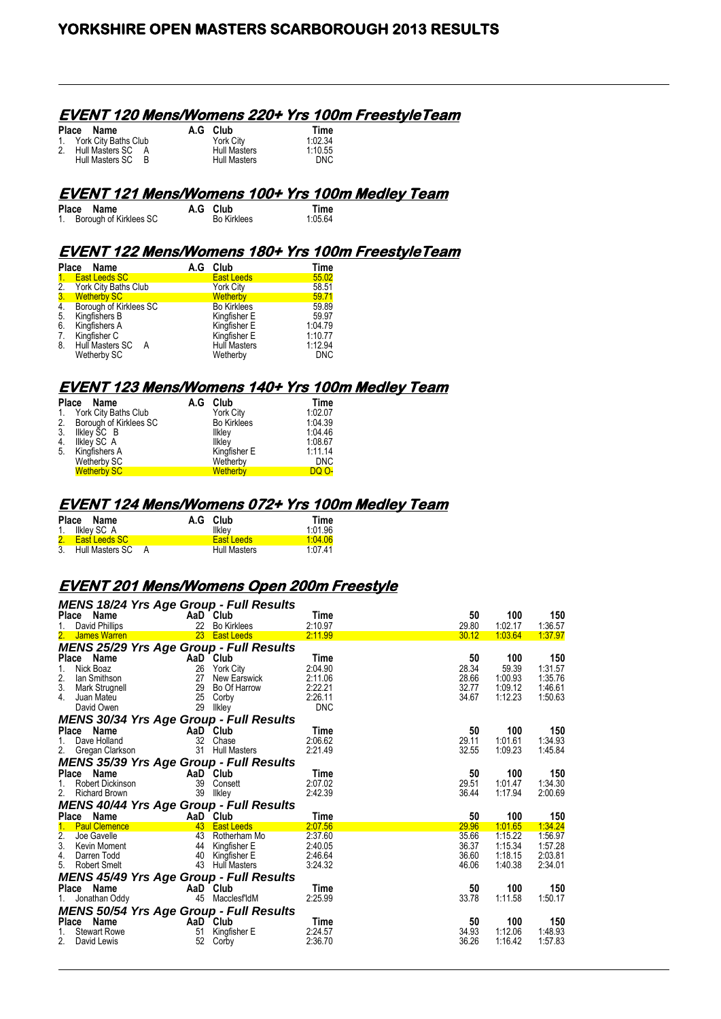#### **EVENT 120 Mens/Womens 220+ Yrs 100m FreestyleTeam**

| Place Name              |   | A.G Club            | Time       |
|-------------------------|---|---------------------|------------|
| 1. York City Baths Club |   | <b>York City</b>    | 1:02.34    |
| 2. Hull Masters SC A    |   | <b>Hull Masters</b> | 1:10.55    |
| Hull Masters SC         | R | <b>Hull Masters</b> | <b>DNC</b> |

#### **EVENT 121 Mens/Womens 100+ Yrs 100m Medley Team**

| Place Name                | A.G Club           | Time    |
|---------------------------|--------------------|---------|
| 1. Borough of Kirklees SC | <b>Bo Kirklees</b> | 1:05.64 |

# **EVENT 122 Mens/Womens 180+ Yrs 100m FreestyleTeam**

|                  | Place Name                                | A.G Club            | Time       |
|------------------|-------------------------------------------|---------------------|------------|
|                  | 1. East Leeds SC                          | <b>East Leeds</b>   | 55.02      |
|                  |                                           | <b>York City</b>    | 58.51      |
|                  | 2. York City Baths Club<br>3. Wetherby SC | <b>Wetherby</b>     | 59.71      |
| $\overline{4}$ . | Borough of Kirklees SC                    | <b>Bo Kirklees</b>  | 59.89      |
| 5.               | Kingfishers B                             | Kingfisher E        | 59.97      |
| 6.               | Kingfishers A                             | Kingfisher E        | 1.04.79    |
| 7.               | Kingfisher C                              | Kingfisher E        | 1:10.77    |
| 8.               | Hull Masters SC A                         | <b>Hull Masters</b> | 1:12.94    |
|                  | Wetherby SC                               | Wetherby            | <b>DNC</b> |

#### **EVENT 123 Mens/Womens 140+ Yrs 100m Medley Team**

|             | Place Name             | A.G Club           | Time         |
|-------------|------------------------|--------------------|--------------|
| $1_{\cdot}$ | York City Baths Club   | <b>York City</b>   | 1:02.07      |
| 2.          | Borough of Kirklees SC | <b>Bo Kirklees</b> | 1.04.39      |
| 3.          | Ilkley SC B            | Ilkley             | 1.04.46      |
| 4.          | Ilkley SC_A            | Ilklev             | 1:08.67      |
| 5.          | Kingfishers A          | Kingfisher E       | 1:11.14      |
|             | Wetherby SC            | Wetherby           | <b>DNC</b>   |
|             | <b>Wetherby SC</b>     | Wetherby           | <b>DQ 0-</b> |

#### **EVENT 124 Mens/Womens 072+ Yrs 100m Medley Team**

| Place Name         |  | A.G Club            | Time    |
|--------------------|--|---------------------|---------|
| 1. Ilkley SC A     |  | Ilklev              | 1:01.96 |
| 2. East Leeds SC   |  | <b>East Leeds</b>   | 1.04.06 |
| 3. Hull Masters SC |  | <b>Hull Masters</b> | 1 07 41 |

## **EVENT 201 Mens/Womens Open 200m Freestyle**

| <b>MENS 18/24 Yrs Age Group - Full Results</b> |    |                 |            |       |         |         |
|------------------------------------------------|----|-----------------|------------|-------|---------|---------|
| Place Name                                     |    | AaD Club        | Time       | 50    | 100     | 150     |
| David Phillips<br>1.                           |    | 22 Bo Kirklees  | 2:10.97    | 29.80 | 1:02.17 | 1:36.57 |
| 2.<br>James Warren                             |    | 23 East Leeds   | 2.11.99    | 30.12 | 1:03.64 | 1.37.97 |
| <b>MENS 25/29 Yrs Age Group - Full Results</b> |    |                 |            |       |         |         |
| Place Name                                     |    | AaD Club        | Time       | 50    | 100     | 150     |
| Nick Boaz<br>1.                                | 26 | York City       | 2:04.90    | 28.34 | 59.39   | 1:31.57 |
| 2.<br>lan Smithson                             | 27 | New Earswick    | 2:11.06    | 28.66 | 1:00.93 | 1:35.76 |
| 3.<br>Mark Strugnell                           |    | 29 Bo Of Harrow | 2:22.21    | 32.77 | 1:09.12 | 1:46.61 |
| 4.<br>Juan Mateu                               | 25 | Corby           | 2:26.11    | 34.67 | 1:12.23 | 1:50.63 |
| David Owen                                     | 29 | Ilkley          | <b>DNC</b> |       |         |         |
| <b>MENS 30/34 Yrs Age Group - Full Results</b> |    |                 |            |       |         |         |
| Place Name                                     |    | AaD Club        | Time       | 50    | 100     | 150     |
| 1.<br>Dave Holland                             | 32 | Chase           | 2:06.62    | 29.11 | 1:01.61 | 1.34.93 |
| Gregan Clarkson<br>2.                          |    | 31 Hull Masters | 2:21.49    | 32.55 | 1:09.23 | 1:45.84 |
| <b>MENS 35/39 Yrs Age Group - Full Results</b> |    |                 |            |       |         |         |
| Place Name                                     |    | AaD Club        | Time       | 50    | 100     | 150     |
| Robert Dickinson<br>1.                         |    | 39 Consett      | 2:07.02    | 29.51 | 1:01.47 | 1:34.30 |
| 2.<br><b>Richard Brown</b>                     |    | 39 Ilkley       | 2:42.39    | 36.44 | 1:17.94 | 2:00.69 |
| <b>MENS 40/44 Yrs Age Group - Full Results</b> |    |                 |            |       |         |         |
| Place Name                                     |    | AaD Club        | Time       | 50    | 100     | 150     |
| $1_{-}$<br><b>Paul Clemence</b>                |    | 43 East Leeds   | 2:07.56    | 29.96 | 1:01.65 | 1:34.24 |
| 2.<br>Joe Gavelle                              |    | 43 Rotherham Mo | 2:37.60    | 35.66 | 1:15.22 | 1.56.97 |
| 3.<br>Kevin Moment                             |    | 44 Kingfisher E | 2:40.05    | 36.37 | 1:15.34 | 1:57.28 |
| 4.<br>Darren Todd                              | 40 | Kingfisher E    | 2.46.64    | 36.60 | 1:18.15 | 2:03.81 |
| 5.<br><b>Robert Smelt</b>                      |    | 43 Hull Masters | 3:24.32    | 46.06 | 1:40.38 | 2:34.01 |
| <b>MENS 45/49 Yrs Age Group - Full Results</b> |    |                 |            |       |         |         |
| Name<br><b>Place</b>                           |    | AaD Club        | Time       | 50    | 100     | 150     |
| Jonathan Oddy                                  |    | 45 MacclesfldM  | 2:25.99    | 33.78 | 1:11.58 | 1:50.17 |
| <b>MENS 50/54 Yrs Age Group - Full Results</b> |    |                 |            |       |         |         |
| Place<br>Name                                  |    | AaD Club        | Time       | 50    | 100     | 150     |
| <b>Stewart Rowe</b>                            | 51 | Kingfisher E    | 2:24.57    | 34.93 | 1:12.06 | 1:48.93 |
| 2.<br>David Lewis                              | 52 | Corby           | 2:36.70    | 36.26 | 1:16.42 | 1:57.83 |
|                                                |    |                 |            |       |         |         |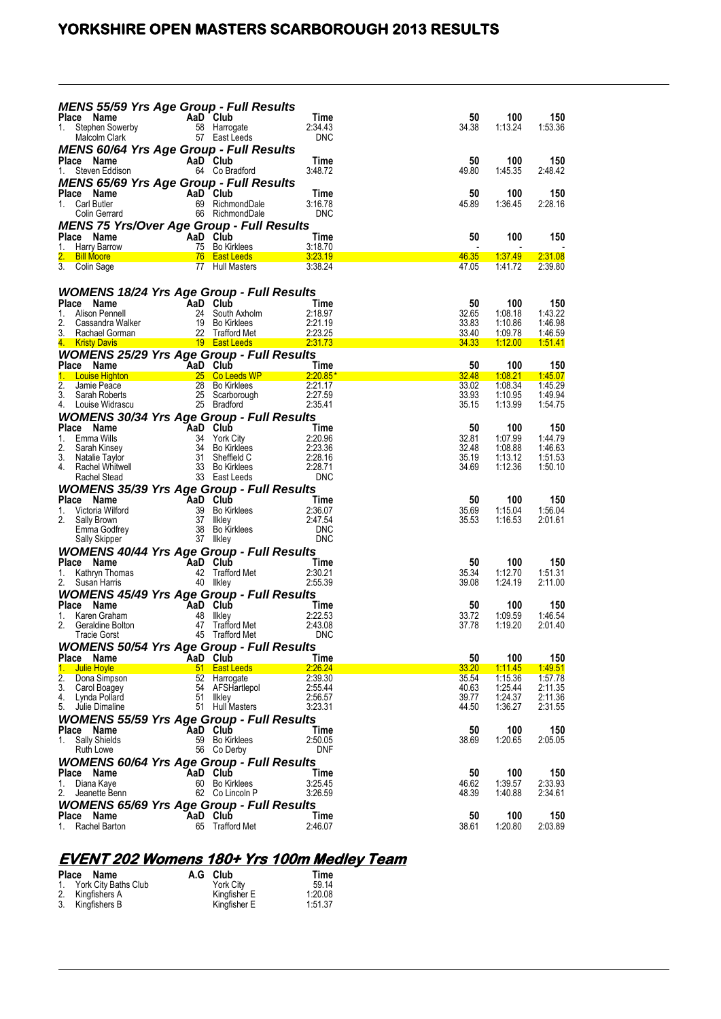# **YORKSHIRE OPEN MASTERS SCARBOROUGH 2013 RESULTS**

| <b>MENS 55/59 Yrs Age Group - Full Results</b>                                                                                                                                                                                                               |                                                                                                     |                                                                         | Time                          | 50                                                                                                                             | 100                         | 150                |
|--------------------------------------------------------------------------------------------------------------------------------------------------------------------------------------------------------------------------------------------------------------|-----------------------------------------------------------------------------------------------------|-------------------------------------------------------------------------|-------------------------------|--------------------------------------------------------------------------------------------------------------------------------|-----------------------------|--------------------|
| <b>Place Name</b><br>1. Stephen Sowerby<br>Malcolm Clark<br>Malcolm Clark<br>1. S7 East Leeds                                                                                                                                                                |                                                                                                     |                                                                         | 2:34.43<br><b>DNC</b>         | 34.38                                                                                                                          | 1:13.24                     | 1.53.36            |
| <b>MENS 60/64 Yrs Age Group - Full Results</b><br><b>Place Name</b><br>1. Steven Eddison                                                                                                                                                                     | AaD Club                                                                                            | 64 Co Bradford                                                          | Time<br>3:48.72               | 50<br>49.80                                                                                                                    | 100<br>1:45.35              | 150<br>2:48.42     |
| <b>MENS 65/69 Yrs Age Group - Full Results</b><br><b>Place Name</b><br>1. Carl Butler <b>Colin Gerrard</b> 69 Richme<br>Colin Gerrard 66 Richme                                                                                                              |                                                                                                     | <b>aD <sup>-</sup> Club</b><br>69    RichmondDale<br>66    RichmondDale | Time<br>3:16.78<br><b>DNC</b> | 50<br>45.89                                                                                                                    | 100<br>1:36.45              | 150<br>2:28.16     |
| <b>MENS 75 Yrs/Over Age Group - Full Results</b><br><b>Ce Name</b><br>Harry Barrow<br>T5 Bo Kirl<br>Place Name<br>1.                                                                                                                                         |                                                                                                     | 75 Bo Kirklees                                                          | Time<br>3:18.70               | 50                                                                                                                             | 100                         | 150                |
| 2. Bill Moore 76 East Leeds 3:23.19<br>3. Colin Sage                                                                                                                                                                                                         |                                                                                                     | 77 Hull Masters                                                         | 3:38.24                       | 46.35<br>47.05                                                                                                                 | <u> 1:37.49 </u><br>1:41.72 | 2:31.08<br>2:39.80 |
| <b>WOMENS 18/24 Yrs Age Group - Full Results</b>                                                                                                                                                                                                             |                                                                                                     |                                                                         |                               |                                                                                                                                |                             |                    |
|                                                                                                                                                                                                                                                              |                                                                                                     |                                                                         |                               | 50                                                                                                                             | 100                         | 150                |
|                                                                                                                                                                                                                                                              |                                                                                                     |                                                                         |                               | 32.65                                                                                                                          | 1:08.18                     | 1:43.22            |
|                                                                                                                                                                                                                                                              |                                                                                                     |                                                                         |                               | 33.83                                                                                                                          | 1:10.86                     | 1.46.98            |
| Place Name<br>1. Alison Pennell<br>2. Cassandra Walker<br>2. Cassandra Walker<br>2. Cassandra Walker<br>2. Cassandra Walker<br>2. Cassandra Walker<br>2. Cassandra Walker<br>2. Cassandra Walker<br>2. Cassandra Walker<br>2. Cassandra Walker<br>2.         |                                                                                                     |                                                                         |                               | 33.40                                                                                                                          | 1:09.78                     | 1:46.59            |
|                                                                                                                                                                                                                                                              |                                                                                                     |                                                                         |                               | <b>Contract Contract Contract Contract Contract Contract Contract Contract Contract Contract Contract Contract Co</b><br>34.33 | <u>1:12.00</u>              | 151.41             |
| <b>WOMENS 25/29 Yrs Age Group - Full Results</b>                                                                                                                                                                                                             |                                                                                                     |                                                                         |                               |                                                                                                                                |                             |                    |
| Place Name                                                                                                                                                                                                                                                   | <b>Example 24 AaD</b> Club                                                                          |                                                                         | <b>Time</b>                   | 50                                                                                                                             | 100                         | 150                |
| 1. Louise Highton<br>2. Jamie Peace<br>3. Sarah Roberts<br>4. Louise Widrascu<br>4. Louise Widrascu<br>25 Bradford<br>25 Bradford                                                                                                                            |                                                                                                     |                                                                         | $2:20.85*$                    | 32.48                                                                                                                          | <u>1:08.21</u>              | 1.45.07            |
|                                                                                                                                                                                                                                                              |                                                                                                     |                                                                         | 2.21.17                       | 33.02                                                                                                                          | 1:08.34                     | 1:45.29            |
|                                                                                                                                                                                                                                                              |                                                                                                     |                                                                         | 2:27.59                       | 33.93                                                                                                                          | 1:10.95                     | 1.49.94            |
|                                                                                                                                                                                                                                                              |                                                                                                     |                                                                         | 2:35.41                       | 35.15                                                                                                                          | 1:13.99                     | 1:54.75            |
| <b>WOMENS 30/34 Yrs Age Group - Full Results</b>                                                                                                                                                                                                             |                                                                                                     |                                                                         |                               |                                                                                                                                |                             |                    |
|                                                                                                                                                                                                                                                              |                                                                                                     |                                                                         |                               | 50                                                                                                                             | 100                         | 150                |
|                                                                                                                                                                                                                                                              |                                                                                                     |                                                                         |                               | 32.81                                                                                                                          | 1:07.99                     | 1.44.79            |
|                                                                                                                                                                                                                                                              |                                                                                                     |                                                                         |                               | 32.48                                                                                                                          | 1:08.88                     | 1.46.63            |
|                                                                                                                                                                                                                                                              |                                                                                                     |                                                                         |                               | 35.19                                                                                                                          | 1:13.12                     | 1.51.53            |
|                                                                                                                                                                                                                                                              |                                                                                                     |                                                                         |                               | 34.69                                                                                                                          | 1:12.36                     | 1.50.10            |
| Place Name Wills<br>1. Emma Wills<br>2. Sarah Kinsey<br>3. Natalie Taylor<br>3. Natalie Taylor<br>3. Natalie Taylor<br>4. Rachel Whitwell<br>4. Rachel Stead<br>3. Bo Kirklees<br>3. Bo Kirklees<br>2.20.36<br>2.20.36<br>2.23.36<br>2.23.36<br>2.28.16<br>2 |                                                                                                     |                                                                         |                               |                                                                                                                                |                             |                    |
|                                                                                                                                                                                                                                                              |                                                                                                     |                                                                         |                               |                                                                                                                                |                             |                    |
| <b>WOMENS 35/39 Yrs Age Group - Full Results</b>                                                                                                                                                                                                             |                                                                                                     |                                                                         |                               |                                                                                                                                |                             |                    |
| Ce Name<br>Victoria Wilford<br>Club<br>Club<br>Sally Brown<br>Emma Godfrey<br>Sally Skipper<br>Sally Skipper<br>Sally Skipper<br>37 Ilkley<br>38 Bo Kirklees<br>Sally Skipper<br>37 Ilkley<br>38 Bo Kirklees<br>Place Name                                   |                                                                                                     |                                                                         | $\frac{1}{2}$ Time            | 50                                                                                                                             | 100                         | 150                |
| 1.                                                                                                                                                                                                                                                           |                                                                                                     |                                                                         | 2:36.07                       | 35.69                                                                                                                          | 1:15.04                     | 1:56.04            |
| 2.                                                                                                                                                                                                                                                           |                                                                                                     |                                                                         | 2.47.54                       | 35.53                                                                                                                          | 1:16.53                     | 2:01.61            |
|                                                                                                                                                                                                                                                              |                                                                                                     |                                                                         | <b>DNC</b>                    |                                                                                                                                |                             |                    |
| Sally Skipper                                                                                                                                                                                                                                                |                                                                                                     | 38 Bo Kirklees<br>37 Ilkley                                             | <b>DNC</b>                    |                                                                                                                                |                             |                    |
| <b>WOMENS 40/44 Yrs Age Group - Full Results</b>                                                                                                                                                                                                             |                                                                                                     |                                                                         |                               |                                                                                                                                |                             |                    |
| Place Name                                                                                                                                                                                                                                                   | <b>Example 2</b> AaD Club                                                                           |                                                                         | Time                          | 50                                                                                                                             | 100                         | 150                |
| 1.                                                                                                                                                                                                                                                           |                                                                                                     | 42 Trafford Met                                                         | 2:30.21                       | 35.34                                                                                                                          | 1:12.70                     | 1:51.31            |
| <b>E Rathryn Thomas</b><br>Cana Horris <b>1999 - Alexander Additional Additional Additional Additional Additional Additional Additional Additional Additional Additional Additional Additional Additional Additional Additional Addit</b>                    |                                                                                                     |                                                                         | 2:55.39                       | 39.08                                                                                                                          | 1:24.19                     | 2:11.00            |
|                                                                                                                                                                                                                                                              |                                                                                                     |                                                                         |                               |                                                                                                                                |                             |                    |
| <b>WOMENS 45/49 Yrs Age Group - Full Results</b>                                                                                                                                                                                                             |                                                                                                     |                                                                         |                               |                                                                                                                                |                             |                    |
| Place Name                                                                                                                                                                                                                                                   | AaD Club                                                                                            |                                                                         | <b>Example 1</b> Time         | 50                                                                                                                             | 100                         | 150                |
| Karen Graham<br>1.                                                                                                                                                                                                                                           |                                                                                                     |                                                                         | 2:22.53                       | 33.72                                                                                                                          | 1:09.59                     | 1.46.54            |
| 2.<br>Geraldine Bolton                                                                                                                                                                                                                                       | $\begin{array}{cc}\n\text{and} & \text{Club} \\ 48 & \text{likley} \\ 47 & \text{TeV}\n\end{array}$ | 47 Trafford Met<br>45 Trafford Met                                      | 2:43.08<br><b>DNC</b>         | 37.78                                                                                                                          | 1:19.20                     | 2:01.40            |
| Tracie Gorst                                                                                                                                                                                                                                                 |                                                                                                     |                                                                         |                               |                                                                                                                                |                             |                    |
| <b>WOMENS 50/54 Yrs Age Group - Full Results</b>                                                                                                                                                                                                             |                                                                                                     |                                                                         |                               |                                                                                                                                |                             |                    |
| Place Name                                                                                                                                                                                                                                                   |                                                                                                     | AaD Club                                                                | Time                          | 50                                                                                                                             | 100                         | 150                |
| Julie Hoyle<br>1.                                                                                                                                                                                                                                            |                                                                                                     | 51 East Leeds                                                           | 2.26.24                       | 33.20                                                                                                                          | <u>1:11.45</u>              | <u>1.49.51</u>     |
| 2.<br>Dona Simpson                                                                                                                                                                                                                                           |                                                                                                     | 52 Harrogate                                                            | 2:39.30                       | 35.54                                                                                                                          | 1:15.36                     | 1.57.78            |
| 3.<br>Carol Boagey                                                                                                                                                                                                                                           |                                                                                                     | 54 AFSHartlepol                                                         | 2:55.44                       | 40.63                                                                                                                          | 1:25.44                     | 2:11.35            |
| Lynda Pollard<br>4.                                                                                                                                                                                                                                          | 51                                                                                                  | likley                                                                  | 2:56.57                       | 39.77                                                                                                                          | 1:24.37                     | 2:11.36            |
| 5.<br>Julie Dimaline                                                                                                                                                                                                                                         |                                                                                                     | 51 Hull Masters                                                         | 3:23.31                       | 44.50                                                                                                                          | 1:36.27                     | 2:31.55            |
| <b>WOMENS 55/59 Yrs Age Group - Full Results</b>                                                                                                                                                                                                             |                                                                                                     |                                                                         |                               |                                                                                                                                |                             |                    |
| Place Name                                                                                                                                                                                                                                                   |                                                                                                     | AaD Club                                                                | Time                          | 50                                                                                                                             | 100                         | 150                |
| <b>Sally Shields</b><br>1.                                                                                                                                                                                                                                   |                                                                                                     | 59 Bo Kirklees                                                          | 2:50.05                       | 38.69                                                                                                                          | 1:20.65                     | 2.05.05            |
| Ruth Lowe                                                                                                                                                                                                                                                    |                                                                                                     | 56 Co Derby                                                             | <b>DNF</b>                    |                                                                                                                                |                             |                    |
| <i><b>WOMENS 60/64 Yrs Age Group - Full Results</b></i>                                                                                                                                                                                                      |                                                                                                     |                                                                         |                               |                                                                                                                                |                             |                    |
| Place Name                                                                                                                                                                                                                                                   |                                                                                                     | AaD Club                                                                | Time                          | 50                                                                                                                             | 100                         | 150                |
| Diana Kaye<br>1.                                                                                                                                                                                                                                             |                                                                                                     | 60 Bo Kirklees                                                          | 3:25.45                       | 46.62                                                                                                                          | 1:39.57                     | 2.33.93            |
| 2.<br>Jeanette Benn                                                                                                                                                                                                                                          |                                                                                                     | 62 Co Lincoln P                                                         | 3:26.59                       | 48.39                                                                                                                          | 1:40.88                     | 2:34.61            |
|                                                                                                                                                                                                                                                              |                                                                                                     |                                                                         |                               |                                                                                                                                |                             |                    |
| <b>WOMENS 65/69 Yrs Age Group - Full Results</b>                                                                                                                                                                                                             |                                                                                                     |                                                                         |                               |                                                                                                                                |                             |                    |
| Place Name                                                                                                                                                                                                                                                   |                                                                                                     | AaD Club                                                                | Time                          | 50                                                                                                                             | 100                         | 150                |
| Rachel Barton<br>1.                                                                                                                                                                                                                                          | 65                                                                                                  | Trafford Met                                                            | 2:46.07                       | 38.61                                                                                                                          | 1:20.80                     | 2:03.89            |

# **EVENT 202 Womens 180+ Yrs 100m Medley Team**

|    | Place<br>Name           | A.G Club     | Time    |
|----|-------------------------|--------------|---------|
|    | 1. York City Baths Club | York Citv    | 59.14   |
|    | 2. Kingfishers A        | Kingfisher E | 1:20.08 |
| 3. | Kingfishers B           | Kingfisher E | 1:51.37 |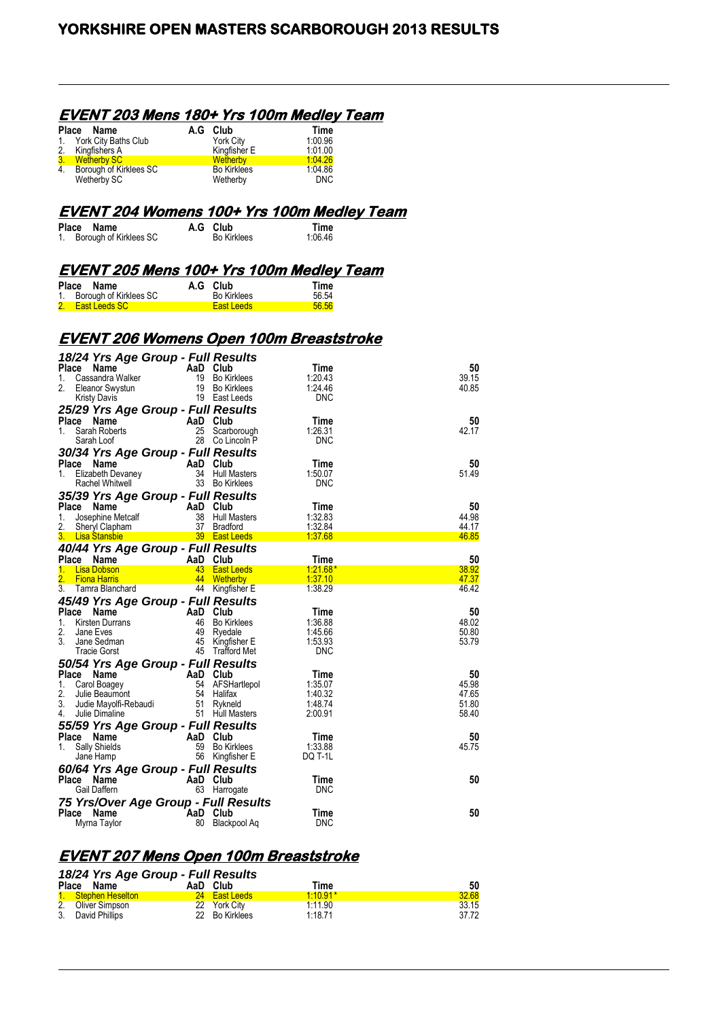#### **EVENT 203 Mens 180+ Yrs 100m Medley Team**

|    | Place Name              | A.G Club           | Time       |
|----|-------------------------|--------------------|------------|
|    | 1. York City Baths Club | York City          | 1.00.96    |
| 2. | Kingfishers A           | Kingfisher E       | 1.01.00    |
|    | 3. Wetherby SC          | <b>Wetherby</b>    | 1.04.26    |
| 4. | Borough of Kirklees SC  | <b>Bo Kirklees</b> | 1.04.86    |
|    | Wetherby SC             | Wetherby           | <b>DNC</b> |

#### **EVENT 204 Womens 100+ Yrs 100m Medley Team**

| Place Name |                           | A.G Club           | Time    |
|------------|---------------------------|--------------------|---------|
|            | 1. Borough of Kirklees SC | <b>Bo Kirklees</b> | 1:06.46 |

#### **EVENT 205 Mens 100+ Yrs 100m Medley Team**

| Place Name                | A.G Club           | Time  |
|---------------------------|--------------------|-------|
| 1. Borough of Kirklees SC | <b>Bo Kirklees</b> | 56 54 |
| 2. East Leeds SC          | <b>East Leeds</b>  | 56.56 |

## **EVENT 206 Womens Open 100m Breaststroke**

| 18/24 Yrs Age Group - Full Results    |          |                     |            |       |
|---------------------------------------|----------|---------------------|------------|-------|
| Place<br>Name                         | AaD Club |                     | Time       | 50    |
| Cassandra Walker<br>1.                | 19       | <b>Bo Kirklees</b>  | 1:20.43    | 39.15 |
| 2.<br>Eleanor Swystun                 | 19       | <b>Bo Kirklees</b>  | 1:24.46    | 40.85 |
| <b>Kristy Davis</b>                   |          | 19 East Leeds       | <b>DNC</b> |       |
| 25/29 Yrs Age Group - Full Results    |          |                     |            |       |
| Place Name                            |          | AaD Club            | Time       | 50    |
| Sarah Roberts<br>1.                   | 25       | Scarborough         | 1:26.31    | 42.17 |
| Sarah Loof                            | 28       | Co Lincoln P        | DNC        |       |
| 30/34 Yrs Age Group - Full Results    |          |                     |            |       |
| Place Name                            | AaD Club |                     | Time       | 50    |
| 1.<br>Elizabeth Devaney               |          | 34 Hull Masters     | 1:50.07    | 51.49 |
| Rachel Whitwell                       |          | 33 Bo Kirklees      | <b>DNC</b> |       |
| 35/39 Yrs Age Group - Full Results    |          |                     |            |       |
| Place Name                            |          | AaD Club            | Time       | 50    |
| 1.<br>Josephine Metcalf               | 38       | <b>Hull Masters</b> | 1:32.83    | 44.98 |
| 2.<br>Sheryl Clapham                  | 37       | <b>Bradford</b>     | 1:32.84    | 44.17 |
| 3.<br><b>Lisa Stansbie Containsly</b> |          | 39 East Leeds       | 1.37.68    | 46.85 |
| 40/44 Yrs Age Group - Full Results    |          |                     |            |       |
| Place Name                            | AaD      | Club                | Time       | 50    |
| <b>Lisa Dobson</b><br>1.              | $43 -$   | <b>East Leeds</b>   | $1.21.68*$ | 38.92 |
| 2.<br><b>Fiona Harris</b>             | 44       | Wetherby            | 1:37.10    | 47.37 |
| 3.<br>Tamra Blanchard                 |          | 44 Kingfisher E     | 1:38.29    | 46.42 |
| 45/49 Yrs Age Group - Full Results    |          |                     |            |       |
| Place Name                            | AaD      | Club                | Time       | 50    |
| Kirsten Durrans<br>1.                 | 46       | <b>Bo Kirklees</b>  | 1:36.88    | 48.02 |
| 2.<br>Jane Eves                       | 49       | Ryedale             | 1:45.66    | 50.80 |
| 3.<br>Jane Sedman                     |          | 45 Kingfisher E     | 1.53.93    | 53.79 |
| Tracie Gorst                          |          | 45 Trafford Met     | DNC        |       |
| 50/54 Yrs Age Group - Full Results    |          |                     |            |       |
| Place Name                            | AaD Club |                     | Time       | 50    |
| 1.<br>Carol Boagey                    | 54       | AFSHartlepol        | 1:35.07    | 45.98 |
| 2.<br>Julie Beaumont                  |          | 54 Halifax          | 1:40.32    | 47.65 |
| 3.<br>Judie Mayolfi-Rebaudi           | 51       | Rykneld             | 1:48.74    | 51.80 |
| 4.<br>Julie Dimaline                  |          | 51 Hull Masters     | 2:00.91    | 58.40 |
| 55/59 Yrs Age Group - Full Results    |          |                     |            |       |
| Place Name                            | AaD      | Club                | Time       | 50    |
| Sally Shields<br>1.                   | 59       | <b>Bo Kirklees</b>  | 1.33.88    | 45.75 |
| Jane Hamp                             |          | 56 Kingfisher E     | DQ T-1L    |       |
|                                       |          |                     |            |       |
| 60/64 Yrs Age Group - Full Results    |          |                     |            |       |
| Place<br>Name                         | AaD Club |                     | Time       | 50    |
| Gail Daffern                          |          | 63 Harrogate        | <b>DNC</b> |       |
| 75 Yrs/Over Age Group - Full Results  |          |                     |            |       |
| Place<br>Name                         | AaD Club |                     | Time       | 50    |
| Myrna Taylor                          | 80       | Blackpool Ag        | <b>DNC</b> |       |

## **EVENT 207 Mens Open 100m Breaststroke**

| 18/24 Yrs Age Group - Full Results |  |                |            |       |  |  |
|------------------------------------|--|----------------|------------|-------|--|--|
| Place Name                         |  | AaD Club       | Time       | 50    |  |  |
| 1. Stephen Heselton                |  | 24 East Leeds  | $1.10.91*$ | 32.68 |  |  |
| 2. Oliver Simpson                  |  | 22 York City   | 1.11.90    | 33.15 |  |  |
| 3. David Phillips                  |  | 22 Bo Kirklees | 1:18.71    | 37.72 |  |  |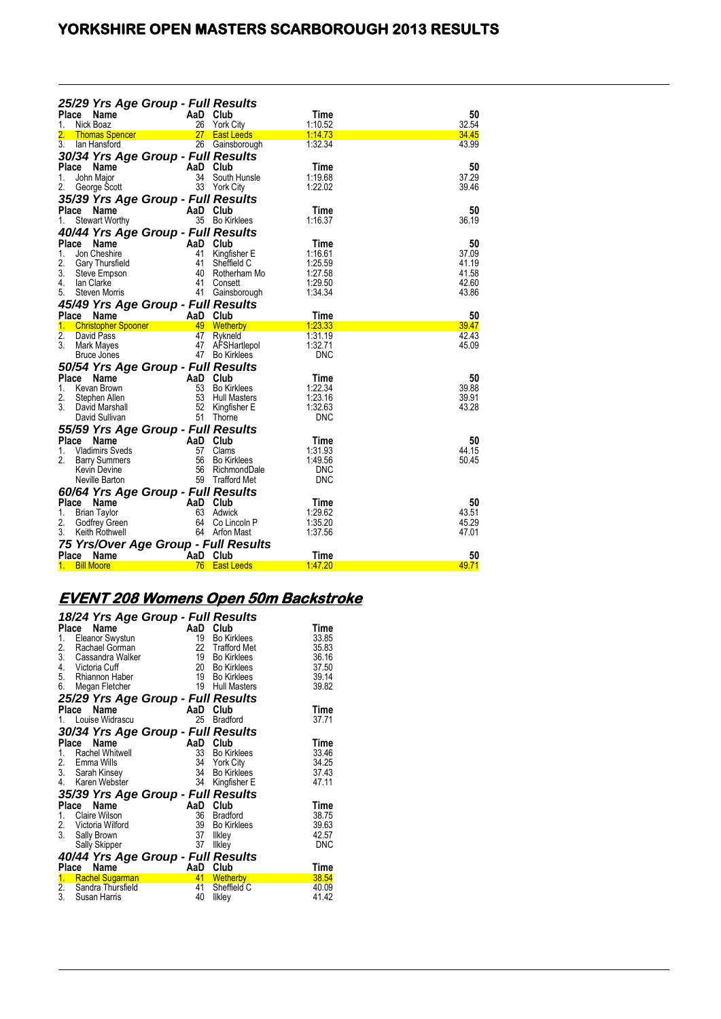# **YORKSHIRE OPEN MASTERS SCARBOROUGH 2013 RESULTS**

|                  |                                          | 25/29 Yrs Age Group - Full Results        |                     |                 |             |
|------------------|------------------------------------------|-------------------------------------------|---------------------|-----------------|-------------|
| Place            | Name                                     | AaD                                       | Club                | Time            | 50          |
| 1.               | Nick Boaz                                | 26                                        | <b>York City</b>    | 1:10.52         | 32.54       |
| 2.               | <b>Thomas Spencer</b>                    | 27                                        | <b>East Leeds</b>   | <u>1:14.73</u>  | 34.45       |
| 3.               | lan Hansford                             |                                           | 26 Gainsborough     | 1.32.34         | 43.99       |
|                  |                                          | 30/34 Yrs Age Group - Full Results        |                     |                 |             |
|                  | Place Name                               | AaD                                       | Club                | Time            | 50          |
| 1.               | John Maior                               | 34                                        | South Hunsle        | 1:19.68         | 37.29       |
| 2.               | George Scott                             | 33                                        | York City           | 1:22.02         | 39.46       |
|                  |                                          | 35/39 Yrs Age Group - Full Results        |                     |                 |             |
| <b>Place</b>     | Name                                     | AaD                                       | Club                | Time            | 50          |
| 1.               | <b>Stewart Worthy</b>                    |                                           | 35 Bo Kirklees      | 1:16.37         | 36.19       |
|                  |                                          | 40/44 Yrs Age Group - Full Results        |                     |                 |             |
|                  | Place Name                               | AaD                                       | Club                | Time            | 50          |
| 1.               | Jon Cheshire                             | 41                                        | Kingfisher E        | 1:16.61         | 37.09       |
| 2.               | Gary Thursfield                          | 41                                        | Sheffield C         | 1:25.59         | 41.19       |
| 3.               | Steve Empson                             | 40                                        | Rotherham Mo        | 1:27.58         | 41.58       |
| 4.               | Ian Clarke                               | 41                                        | Consett             | 1:29.50         | 42.60       |
| 5.               | Steven Morris                            | 41                                        | Gainsborough        | 1:34.34         | 43.86       |
|                  |                                          |                                           |                     |                 |             |
|                  |                                          | 45/49 Yrs Age Group - Full Results        |                     |                 |             |
| 1.               | Place Name                               | AaD<br>49                                 | Club                | Time<br>1:23.33 | 50<br>39.47 |
| $\overline{2}$ . | <b>Christopher Spooner</b><br>David Pass | 47                                        | Wetherby<br>Rykneld | 1:31.19         | 42.43       |
| 3.               | Mark Mayes                               | 47                                        | AFSHartlepol        | 1:32.71         | 45.09       |
|                  | Bruce Jones                              |                                           | 47 Bo Kirklees      | DNC             |             |
|                  |                                          |                                           |                     |                 |             |
|                  | Place Name                               | 50/54 Yrs Age Group - Full Results<br>AaD | Club                | Time            | 50          |
|                  |                                          |                                           | <b>Bo Kirklees</b>  | 1:22.34         | 39.88       |
| 1.<br>2.         | Kevan Brown                              | 53<br>53                                  | Hull Masters        | 1:23.16         | 39.91       |
| 3.               | Stephen Allen<br>David Marshall          | 52                                        | Kingfisher E        | 1:32.63         | 43.28       |
|                  | David Sullivan                           |                                           | 51 Thorne           | DNC             |             |
|                  |                                          |                                           |                     |                 |             |
|                  |                                          | 55/59 Yrs Age Group - Full Results        |                     |                 |             |
| Place            | <b>Name</b>                              | AaD                                       | Club                | Time            | 50          |
| 1.               | <b>Vladimirs Sveds</b>                   | 57                                        | Clams               | 1:31.93         | 44.15       |
| 2.               | <b>Barry Summers</b>                     | 56                                        | <b>Bo Kirklees</b>  | 1:49.56         | 50.45       |
|                  | Kevin Devine                             | 56                                        | RichmondDale        | <b>DNC</b>      |             |
|                  | Neville Barton                           |                                           | 59 Trafford Met     | <b>DNC</b>      |             |
|                  |                                          | 60/64 Yrs Age Group - Full Results        |                     |                 |             |
| Place            | Name                                     | AaD                                       | Club                | Time            | 50          |
| 1.               | <b>Brian Taylor</b>                      | 63                                        | Adwick              | 1.29.62         | 43.51       |
| 2.               | Godfrey Green                            | 64                                        | Co Lincoln P        | 1:35.20         | 45.29       |
| 3.               | Keith Rothwell                           |                                           | 64 Arfon Mast       | 1:37.56         | 47.01       |
|                  |                                          | 75 Yrs/Over Age Group - Full Results      |                     |                 |             |
| Place            | Name                                     | AaD                                       | Club                | Time            | 50          |
| 1.               | <b>Bill Moore</b>                        | 76                                        | <b>East Leeds</b>   | 1.47.20         | 49.71       |

# **EVENT 208 Womens Open 50m Backstroke**

|       | 18/24 Yrs Age Group - Full Results |     |                     |            |
|-------|------------------------------------|-----|---------------------|------------|
|       | Place<br>Name                      | AaD | Club                | Time       |
| 1.    | Eleanor Swystun                    | 19  | <b>Bo Kirklees</b>  | 33.85      |
| 2.    | Rachael Gorman                     | 22  | <b>Trafford Met</b> | 35.83      |
| 3.    | Cassandra Walker                   | 19  | <b>Bo Kirklees</b>  | 36.16      |
| 4.    | Victoria Cuff                      | 20  | <b>Bo Kirklees</b>  | 37.50      |
|       | 5. Rhiannon Haber                  | 19  | <b>Bo Kirklees</b>  | 39.14      |
| 6.    | Megan Fletcher                     | 19  | <b>Hull Masters</b> | 39.82      |
|       | 25/29 Yrs Age Group - Full Results |     |                     |            |
| Place | <b>Name</b>                        | AaD | Club                | Time       |
|       | 1. Louise Widrascu                 | 25  | <b>Bradford</b>     | 37.71      |
|       | 30/34 Yrs Age Group - Full Results |     |                     |            |
|       | Name<br>Place                      | AaD | Club                | Time       |
| 1.    | Rachel Whitwell                    | 33  | <b>Bo Kirklees</b>  | 33.46      |
|       | 2. Emma Wills                      | 34  | <b>York City</b>    | 34.25      |
|       | 3. Sarah Kinsey                    | 34  | <b>Bo Kirklees</b>  | 37.43      |
| 4.    | Karen Webster                      | 34  | Kingfisher E        | 47.11      |
|       | 35/39 Yrs Age Group - Full Results |     |                     |            |
|       | Name<br>Place                      | AaD | Club                | Time       |
| 1.    | Claire Wilson                      | 36  | <b>Bradford</b>     | 38.75      |
|       | 2. Victoria Wilford                | 39  | <b>Bo Kirklees</b>  | 39.63      |
| 3.    | Sally Brown                        | 37  | <b>Ilkley</b>       | 42.57      |
|       | Sally Skipper                      | 37  | <b>Ilkley</b>       | <b>DNC</b> |
|       | 40/44 Yrs Age Group - Full Results |     |                     |            |
| Place | Name                               | AaD | Club                | Time       |
| 1.    | Rachel Sugarman                    | 41  | Wetherby            | 38.54      |
|       | 2. Sandra Thursfield               | 41  | Sheffield C         | 40.09      |
| 3.    | Susan Harris                       | 40  | Ilkley              | 41.42      |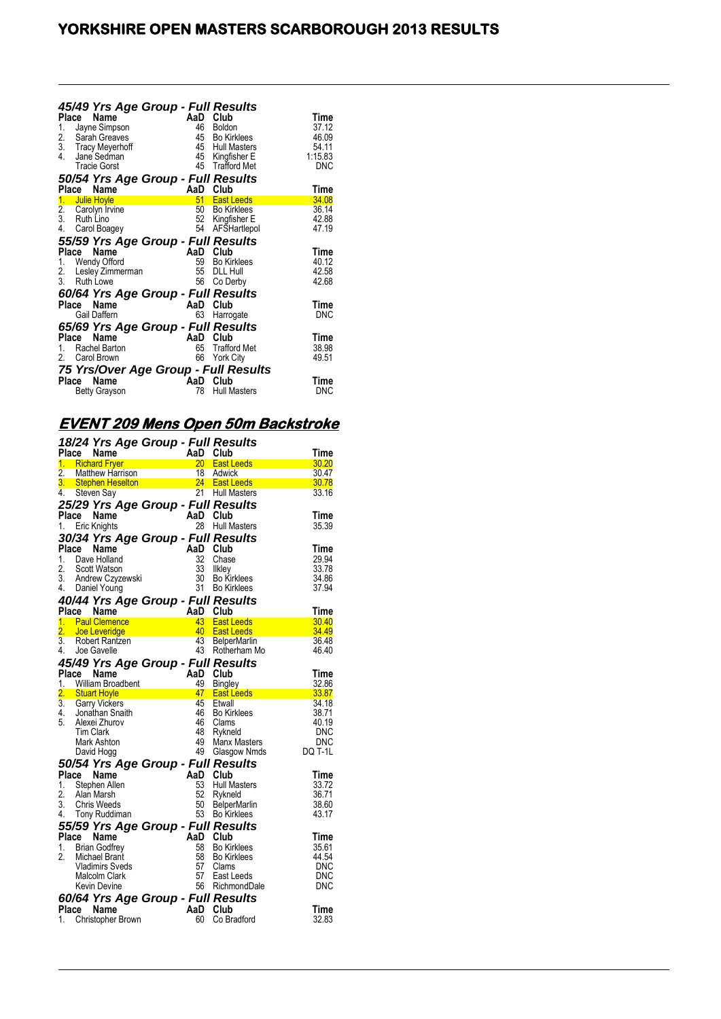| Place<br>1.<br>$\frac{2}{3}$ .<br>4. | 45/49 Yrs Age Group - Full Results<br>Name<br>Jayne Simpson<br>Sarah Greaves<br><b>Tracy Meyerhoff</b><br>Jane Sedman<br><b>Tracie Gorst</b><br>50/54 Yrs Age Group - Full Results | AaD<br>46<br>45<br>45<br>45 | Club<br>Boldon<br><b>Bo Kirklees</b><br><b>Hull Masters</b><br>45 Kingfisher E<br><b>Trafford Met</b> | Time<br>37.12<br>46.09<br>54.11<br>1:15.83<br>DNC |
|--------------------------------------|------------------------------------------------------------------------------------------------------------------------------------------------------------------------------------|-----------------------------|-------------------------------------------------------------------------------------------------------|---------------------------------------------------|
| Place                                | Name                                                                                                                                                                               | AaD                         | Club                                                                                                  | Time                                              |
| 1.                                   | <b>Julie Hoyle</b>                                                                                                                                                                 | 51                          | <b>East Leeds</b>                                                                                     | 34.08                                             |
| $\frac{2}{3}$                        | Carolyn Irvine<br>Ruth Lino                                                                                                                                                        | 52                          | 50 Bo Kirklees                                                                                        | 36.14<br>42.88                                    |
| 4.                                   | Carol Boagey                                                                                                                                                                       | 54                          | Kingfisher E<br>AFSHartlepol                                                                          | 47.19                                             |
|                                      |                                                                                                                                                                                    |                             |                                                                                                       |                                                   |
| Place                                | 55/59 Yrs Age Group - Full Results<br>Name                                                                                                                                         | AaD                         | Club                                                                                                  | Time                                              |
|                                      | 1. Wendy Offord                                                                                                                                                                    | 59                          | <b>Bo Kirklees</b>                                                                                    | 40.12                                             |
|                                      | 2. Lesley Zimmerman                                                                                                                                                                | 55                          | <b>DLL Hull</b>                                                                                       | 42.58                                             |
|                                      | 3. Ruth Lowe                                                                                                                                                                       | 56                          | Co Derby                                                                                              | 42.68                                             |
|                                      | 60/64 Yrs Age Group - Full Results                                                                                                                                                 |                             |                                                                                                       |                                                   |
| Place                                | Name                                                                                                                                                                               | AaD                         | Club                                                                                                  | Time                                              |
|                                      | Gail Daffern                                                                                                                                                                       | 63                          | Harrogate                                                                                             | DNC                                               |
|                                      | 65/69 Yrs Age Group - Full Results                                                                                                                                                 |                             |                                                                                                       |                                                   |
| Place                                | Name                                                                                                                                                                               | AaD                         | Club                                                                                                  | Time                                              |
| 1                                    | Rachel Barton                                                                                                                                                                      | 65                          | <b>Trafford Met</b>                                                                                   | 38.98                                             |
| 2.                                   | Carol Brown                                                                                                                                                                        | 66                          | <b>York City</b>                                                                                      | 49.51                                             |
|                                      | 75 Yrs/Over Age Group - Full Results                                                                                                                                               |                             |                                                                                                       |                                                   |
|                                      | <b>Name</b><br>Place                                                                                                                                                               | AaD                         | Club                                                                                                  | Time                                              |
|                                      | <b>Betty Grayson</b>                                                                                                                                                               | 78                          | <b>Hull Masters</b>                                                                                   | DNC                                               |
|                                      |                                                                                                                                                                                    |                             |                                                                                                       |                                                   |

# **EVENT 209 Mens Open 50m Backstroke**

|                  |                                             | 18/24 Yrs Age Group - Full Results       |          |                               |                |
|------------------|---------------------------------------------|------------------------------------------|----------|-------------------------------|----------------|
| Place            | Name                                        |                                          | AaD      | Club                          | Time           |
|                  | 1. Richard Fryer                            | A<br>n                                   |          | 20 East Leeds                 | 30.20          |
| 2.               | <b>Matthew Harrison</b>                     |                                          | 18       | Adwick                        | 30.47          |
|                  |                                             | 3. Stephen Heselton and the state of the |          | 24 East Leeds                 | 30.78          |
| 4.               | Steven Say                                  |                                          |          | 21 Hull Masters               | 33.16          |
|                  |                                             | 25/29 Yrs Age Group - Full Results       |          |                               |                |
|                  | Place Name                                  |                                          | AaD Club |                               | Time           |
| 1.               | Eric Knights                                |                                          | 28       | <b>Hull Masters</b>           | 35.39          |
|                  |                                             | 30/34 Yrs Age Group - Full Results       |          |                               |                |
| Place            | Name                                        |                                          | AaD Club |                               | Time           |
| 1.               | Dave Holland                                |                                          | 32       | Chase                         | 29.94          |
| 2.               | Scott Watson                                |                                          | 33       | Ilkley                        | 33.78          |
| 3.               | Andrew Czyzewski                            |                                          | 30       | <b>Bo Kirklees</b>            | 34.86          |
|                  | 4. Daniel Young                             |                                          | 31       | <b>Bo Kirklees</b>            | 37.94          |
|                  |                                             | 40/44 Yrs Age Group - Full Results       |          |                               |                |
| <b>Place</b>     | Name                                        |                                          | AaD      | Club                          | <b>Time</b>    |
|                  | 1. Paul Clemence                            |                                          |          | 43 East Leeds                 | 30.40          |
|                  | 2. Joe Leveridge                            |                                          | 40       | <b>East Leeds</b>             | 34.49          |
| $\overline{3}$ . | Robert Rantzen                              |                                          |          | 43 BelperMarlin               | 36.48          |
| 4.               | Joe Gavelle                                 |                                          |          | 43 Rotherham Mo               | 46.40          |
|                  |                                             |                                          |          |                               |                |
|                  |                                             | 45/49 Yrs Age Group - Full Results       | AaD Club |                               |                |
|                  | Place Name                                  |                                          | 49       |                               | Time<br>32.86  |
| $\overline{2}$ . | 1. William Broadbent<br><b>Stuart Hoyle</b> |                                          | 47       | Bingley<br><b>East Leeds</b>  | 33.87          |
|                  | 3. Garry Vickers                            |                                          | 45       | Etwall                        | 34.18          |
| 4.               | Jonathan Snaith                             |                                          | 46       | <b>Bo Kirklees</b>            | 38.71          |
| 5.               | Alexei Zhurov                               |                                          | 46       | Clams                         | 40.19          |
|                  | <b>Tim Clark</b>                            |                                          | 48       | Rykneld                       | DNC            |
|                  | Mark Ashton                                 |                                          | 49       | <b>Manx Masters</b>           | DNC            |
|                  | David Hogg                                  |                                          | 49       | Glasgow Nmds                  | <b>DQ T-1L</b> |
|                  |                                             | 50/54 Yrs Age Group - Full Results       |          |                               |                |
| Place            | Name                                        |                                          | AaD Club |                               | <b>Time</b>    |
| 1.               | Stephen Allen                               |                                          | 53       |                               | 33.72          |
| 2.               | Alan Marsh                                  |                                          | 52       | Hull Masters<br>Rykneld       | 36.71          |
| 3.               | <b>Chris Weeds</b>                          |                                          | 50       | <b>BelperMarlin</b>           | 38.60          |
|                  | 4. Tony Ruddiman                            |                                          |          | 53 Bo Kirklees                | 43.17          |
|                  |                                             |                                          |          |                               |                |
|                  |                                             | 55/59 Yrs Age Group - Full Results       |          |                               |                |
| Place            | Name                                        |                                          | AaD Club |                               | <b>Time</b>    |
| 1.               | <b>Brian Godfrey</b>                        |                                          | 58       | <b>Bo Kirklees</b>            | 35.61          |
| 2.               | Michael Brant                               |                                          | 58       | <b>Bo Kirklees</b>            | 44.54          |
|                  | <b>Vladimirs Sveds</b>                      |                                          | 57       | Clams                         | DNC            |
|                  | Malcolm Clark                               |                                          | 57       | East Leeds<br>56 RichmondDale | DNC            |
|                  | Kevin Devine                                |                                          |          |                               | DNC            |
|                  |                                             | 60/64 Yrs Age Group - Full Results       |          |                               |                |
| <b>Place</b>     | <b>Name</b>                                 |                                          | AaD      | Club                          | Time           |
| 1.               | <b>Christopher Brown</b>                    |                                          | 60       | Co Bradford                   | 32.83          |
|                  |                                             |                                          |          |                               |                |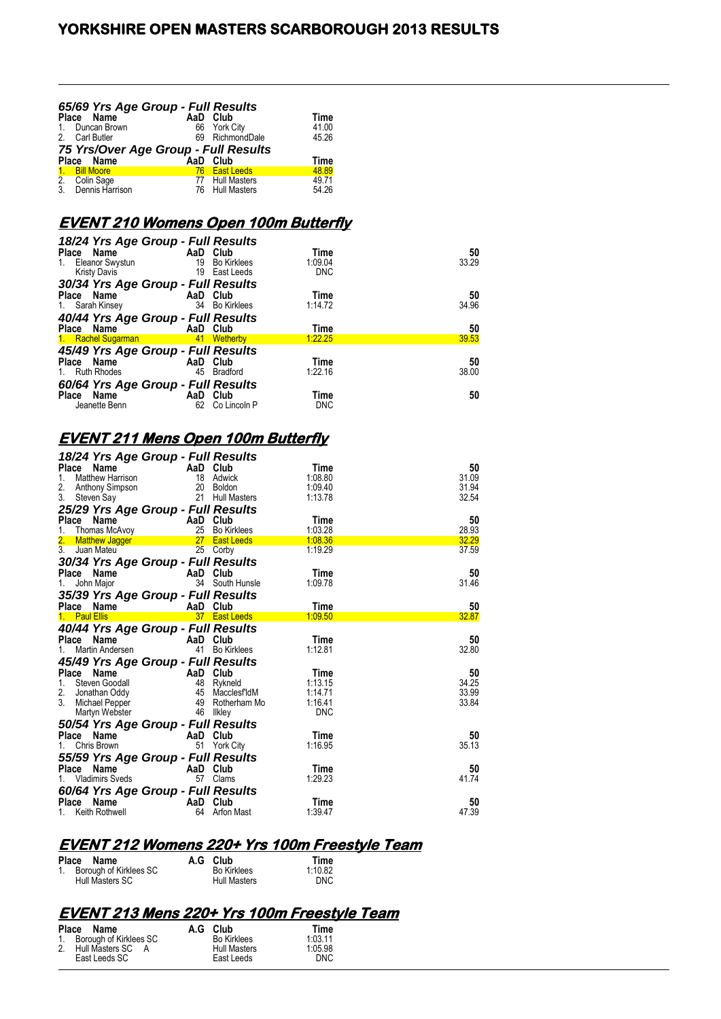| $1_{\cdot}$  | 65/69 Yrs Age Group - Full Results<br>Place Name<br>Duncan Brown | AaD Club<br>66 York City | <b>Time</b><br>41.00 |
|--------------|------------------------------------------------------------------|--------------------------|----------------------|
|              | 2. Carl Butler                                                   | 69 RichmondDale          | 45.26                |
|              | 75 Yrs/Over Age Group - Full Results                             |                          |                      |
|              | Place Name                                                       | AaD Club                 | Time                 |
| $\mathbf{1}$ | <b>Bill Moore</b>                                                | 76 East Leeds            | 48.89                |
|              | 2. Colin Sage<br>3. Dennis Harrison                              | 77 Hull Masters          | 49.71                |
|              |                                                                  | 76 Hull Masters          | 54.26                |

## **EVENT 210 Womens Open 100m Butterfly**

| 18/24 Yrs Age Group - Full Results |     |                    |            |       |
|------------------------------------|-----|--------------------|------------|-------|
| Place Name                         |     | AaD Club           | Time       | 50    |
| 1. Eleanor Swystun                 | 19  | <b>Bo Kirklees</b> | 1:09.04    | 33.29 |
| <b>Kristy Davis</b>                | 19  | East Leeds         | <b>DNC</b> |       |
| 30/34 Yrs Age Group - Full Results |     |                    |            |       |
| Place Name                         |     | AaD Club           | Time       | 50    |
| 1. Sarah Kinsey                    | 34  | <b>Bo Kirklees</b> | 1:14.72    | 34.96 |
| 40/44 Yrs Age Group - Full Results |     |                    |            |       |
| Place Name                         |     | AaD Club           | Time       | 50    |
| 1. Rachel Sugarman 1. 41 Wetherby  |     |                    | 1:22.25    | 39.53 |
| 45/49 Yrs Age Group - Full Results |     |                    |            |       |
| Place Name                         |     | AaD Club           | Time       | 50    |
| 1. Ruth Rhodes                     | 45  | <b>Bradford</b>    | 1:22.16    | 38.00 |
| 60/64 Yrs Age Group - Full Results |     |                    |            |       |
| Name<br>Place                      | AaD | Club               | Time       | 50    |
| Jeanette Benn                      | 62  | Co Lincoln P       | <b>DNC</b> |       |

## **EVENT 211 Mens Open 100m Butterfly**

| 18/24 Yrs Age Group - Full Results                                |                 |                            |                    |                |
|-------------------------------------------------------------------|-----------------|----------------------------|--------------------|----------------|
| Name<br>Place                                                     | AaD             | Club                       | Time               | 50             |
| 1.<br>Matthew Harrison                                            | 18<br>20        | Adwick                     | 1:08.80<br>1.09.40 | 31.09<br>31.94 |
| 2.<br>Anthony Simpson<br>3.<br>Steven Say                         | 21              | Boldon<br>Hull Masters     | 1:13.78            | 32.54          |
| 25/29 Yrs Age Group - Full Results                                |                 |                            |                    |                |
| Place<br>Name                                                     | AaD             | Club                       | Time               | 50             |
| 1.<br>Thomas McAvoy                                               | 25              | <b>Bo Kirklees</b>         | 1:03.28            | 28.93          |
| 2.<br><b>Matthew Jagger</b>                                       | 27 <sup>2</sup> | <b>East Leeds</b>          | 1:08.36            | 32.29          |
| $\overline{3}$ .<br>Juan Mateu                                    | 25              | Corby                      | 1:19.29            | 37.59          |
| 30/34 Yrs Age Group - Full Results                                |                 |                            |                    |                |
| Place Name                                                        | AaD Club        |                            | Time               | 50             |
| John Major<br>1.                                                  | 34              | South Hunsle               | 1:09.78            | 31.46          |
| 35/39 Yrs Age Group - Full Results                                |                 |                            |                    |                |
| Place Name                                                        | AaD             | Club                       | Time               | 50             |
| 1. Paul Ellis                                                     |                 | 37 East Leeds              | 1:09.50            | 32.87          |
| 40/44 Yrs Age Group - Full Results                                |                 |                            |                    |                |
| Place<br>Name<br>Martin Andersen<br>1.                            | AaD<br>41       | Club<br><b>Bo Kirklees</b> | Time<br>1:12.81    | 50<br>32.80    |
| 45/49 Yrs Age Group - Full Results                                |                 |                            |                    |                |
| Place<br>Name                                                     | AaD Club        |                            | Time               | 50             |
| Steven Goodall<br>1.                                              | 48              | Rykneld                    | 1:13.15            | 34.25          |
| 2.<br>Jonathan Oddy                                               | 45              | Macclesf'ldM               | 1:14.71            | 33.99          |
| 3.<br>Michael Pepper                                              | 49              | Rotherham Mo               | 1:16.41            | 33.84          |
| Martyn Webster                                                    | 46              | Ilkley                     | <b>DNC</b>         |                |
| 50/54 Yrs Age Group - Full Results                                |                 |                            |                    |                |
| Place Name                                                        | AaD Club        |                            | Time               | 50             |
| 1.<br>Chris Brown                                                 | 51              | York City                  | 1:16.95            | 35.13          |
| 55/59 Yrs Age Group - Full Results                                |                 |                            |                    |                |
| Place<br><b>Name</b><br><b>Vladimirs Sveds</b>                    | AaD<br>57       | Club<br>Clams              | Time<br>1:29.23    | 50<br>41.74    |
|                                                                   |                 |                            |                    |                |
| 60/64 Yrs Age Group - Full Results<br><b>Name</b><br><b>Place</b> | AaD             | Club                       | Time               | 50             |
| Keith Rothwell                                                    | 64              | <b>Arfon Mast</b>          | 1:39.47            | 47.39          |
|                                                                   |                 |                            |                    |                |

# **EVENT 212 Womens 220+ Yrs 100m Freestyle Team**

| Place Name                | A.G Club            | Time       |
|---------------------------|---------------------|------------|
| 1. Borough of Kirklees SC | <b>Bo Kirklees</b>  | 1:10.82    |
| Hull Masters SC           | <b>Hull Masters</b> | <b>DNC</b> |

# **EVENT 213 Mens 220+ Yrs 100m Freestyle Team**

| <b>Place</b><br>Name                  | A.G Club                          | Time            |
|---------------------------------------|-----------------------------------|-----------------|
| 1. Borough of Kirklees SC             | <b>Bo Kirklees</b>                | 1:03.11         |
| 2. Hull Masters SC A<br>East Leeds SC | <b>Hull Masters</b><br>East Leeds | 1.05.98<br>DNC. |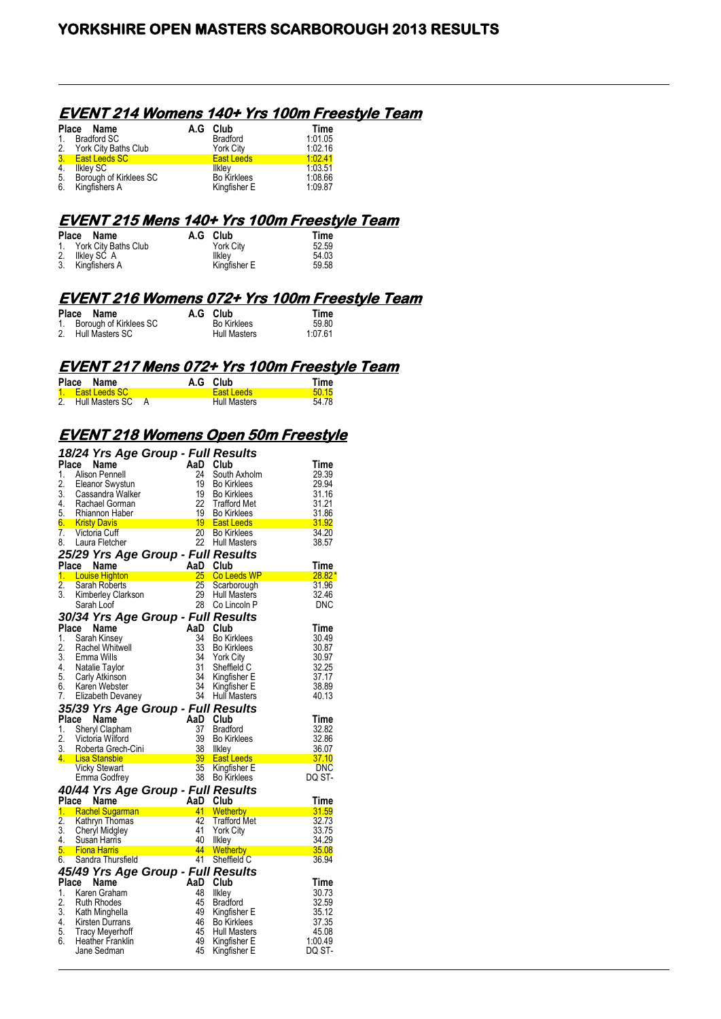#### **EVENT 214 Womens 140+ Yrs 100m Freestyle Team**

|                | Place Name              | A.G Club           | <b>Time</b> |
|----------------|-------------------------|--------------------|-------------|
| 1 <sup>1</sup> | Bradford SC             | <b>Bradford</b>    | 1.01.05     |
|                | 2. York City Baths Club | <b>York City</b>   | 1.02.16     |
|                | 3. East Leeds SC        | <b>East Leeds</b>  | 1:02.41     |
| 4.             | Ilkley SC               | Ilkley             | 1:03.51     |
| 5.             | Borough of Kirklees SC  | <b>Bo Kirklees</b> | 1.08.66     |
| 6.             | Kingfishers A           | Kingfisher E       | 1:09.87     |

#### **EVENT 215 Mens 140+ Yrs 100m Freestyle Team**

| Place Name              | A.G Club     | Time  |
|-------------------------|--------------|-------|
| 1. York City Baths Club | York City    | 52.59 |
| 2. Ilkley SC A          | Ilkley       | 54.03 |
| 3. Kingfishers A        | Kingfisher E | 59.58 |

#### **EVENT 216 Womens 072+ Yrs 100m Freestyle Team**

| Place Name                | A.G Club            | Time    |
|---------------------------|---------------------|---------|
| 1. Borough of Kirklees SC | <b>Bo Kirklees</b>  | 59.80   |
| 2. Hull Masters SC        | <b>Hull Masters</b> | 1:07.61 |

#### **EVENT 217 Mens 072+ Yrs 100m Freestyle Team**

| Place Name           |  | A.G Club          | Time  |
|----------------------|--|-------------------|-------|
| 1. East Leeds SC     |  | <b>East Leeds</b> | 5015  |
| 2. Hull Masters SC A |  | Hull Masters      | 54.78 |

## **EVENT 218 Womens Open 50m Freestyle**

|                  | 18/24 Yrs Age Group - Full Results         |       |                                    |                      |
|------------------|--------------------------------------------|-------|------------------------------------|----------------------|
| Place            | Name                                       | AaD   | Club                               | Time                 |
| 1.               | <b>Alison Pennell</b>                      | 24    | South Axholm                       | 29.39                |
| 2.               | Eleanor Swystun                            | 19    | <b>Bo Kirklees</b>                 | 29.94                |
| 3.               | Cassandra Walker                           | 19    | <b>Bo Kirklees</b>                 | 31.16                |
| 4.               | Rachael Gorman                             | 22    | <b>Trafford Met</b>                | 31.21                |
| 5.               | Rhiannon Haber                             | 19    | <b>Bo Kirklees</b>                 | 31.86                |
| 6.               | <b>Kristy Davis</b>                        |       | 19 East Leeds                      | 31.92                |
| 7.               | Victoria Cuff                              | 20    | <b>Bo Kirklees</b>                 | 34.20                |
| 8.               | Laura Fletcher                             | 22    | <b>Hull Masters</b>                | 38.57                |
|                  | 25/29 Yrs Age Group - Full Results         |       |                                    |                      |
| Place            | Name                                       | AaD   | Club                               | Time                 |
|                  | 1. Louise Highton                          | $25-$ | Co Leeds WP                        | $28.82*$             |
| $\overline{2}$ . | Sarah Roberts                              | 25    | Scarborough                        | 31.96                |
| 3.               | Kimberley Clarkson                         | 29    | <b>Hull Masters</b>                | 32.46                |
|                  | Sarah Loof                                 | 28    | Co Lincoln P                       | DNC                  |
|                  |                                            |       |                                    |                      |
|                  | 30/34 Yrs Age Group - Full Results         |       |                                    |                      |
| Place            | Name                                       | AaD   | Club                               | <b>Time</b>          |
| 1.               | Sarah Kinsey                               | 34    | <b>Bo Kirklees</b>                 | 30.49                |
| 2.               | Rachel Whitwell                            | 33    | <b>Bo Kirklees</b>                 | 30.87                |
| 3.               | Emma Wills                                 | 34    | <b>York City</b>                   | 30.97                |
| 4.               | Natalie Taylor                             | 31    | Sheffield C                        | 32.25                |
| 5.               | Carly Atkinson                             | 34    | Kingfisher E                       | 37.17                |
| 6.               | Karen Webster                              | 34    | Kingfisher E                       | 38.89                |
| 7.               | Elizabeth Devaney                          | 34    | Hull Masters                       | 40.13                |
|                  | 35/39 Yrs Age Group - Full Results         |       |                                    |                      |
|                  |                                            |       |                                    |                      |
| Place            | Name                                       | AaD   | Club                               | <b>Time</b>          |
| 1.               | Sheryl Clapham                             | 37    | <b>Bradford</b>                    | 32.82                |
| 2.               | Victoria Wilford                           | 39    | <b>Bo Kirklees</b>                 | 32.86                |
| 3.               | Roberta Grech-Cini                         | 38    | llkley                             | 36.07                |
| 4.               | <b>Lisa Stansbie</b>                       | 39    | <b>East Leeds</b>                  | <u>37.10</u>         |
|                  | <b>Vicky Stewart</b>                       | 35    | Kingfisher E                       | <b>DNC</b>           |
|                  | Emma Godfrey                               | 38    | <b>Bo Kirklees</b>                 | DQ ST-               |
|                  |                                            |       |                                    |                      |
| Place            | 40/44 Yrs Age Group - Full Results<br>Name | AaD   | Club                               |                      |
|                  | 1. Rachel Sugarman                         | 41    | Wetherby                           | <b>Time</b><br>31.59 |
| $\overline{2}$ . | Kathryn Thomas                             | 42    | <b>Trafford Met</b>                | 32.73                |
| 3.               | Cheryl Midgley                             | 41    | <b>York City</b>                   | 33.75                |
| 4.               | Susan Harris                               | 40    | Ilkley                             | 34.29                |
| 5.               | <b>Fiona Harris</b>                        | 44    | Wetherby                           | 35.08                |
| 6.               | Sandra Thursfield                          | 41    | Sheffield C                        | 36.94                |
|                  |                                            |       |                                    |                      |
|                  | 45/49 Yrs Age Group - Full Results         | AaD   | Club                               | Time                 |
| Place<br>1.      | Name                                       | 48    |                                    | 30.73                |
| 2.               | Karen Graham<br>Ruth Rhodes                | 45    | Ilkley<br><b>Bradford</b>          | 32.59                |
| 3.               |                                            | 49    |                                    | 35.12                |
| 4.               | Kath Minghella                             | 46    | Kingfisher E<br><b>Bo Kirklees</b> | 37.35                |
| 5.               | Kirsten Durrans<br><b>Tracy Meyerhoff</b>  | 45    | <b>Hull Masters</b>                | 45.08                |
| 6.               | <b>Heather Franklin</b>                    | 49    |                                    | 1.00.49              |
|                  | Jane Sedman                                | 45    | Kingfisher E<br>Kingfisher E       | DQ ST-               |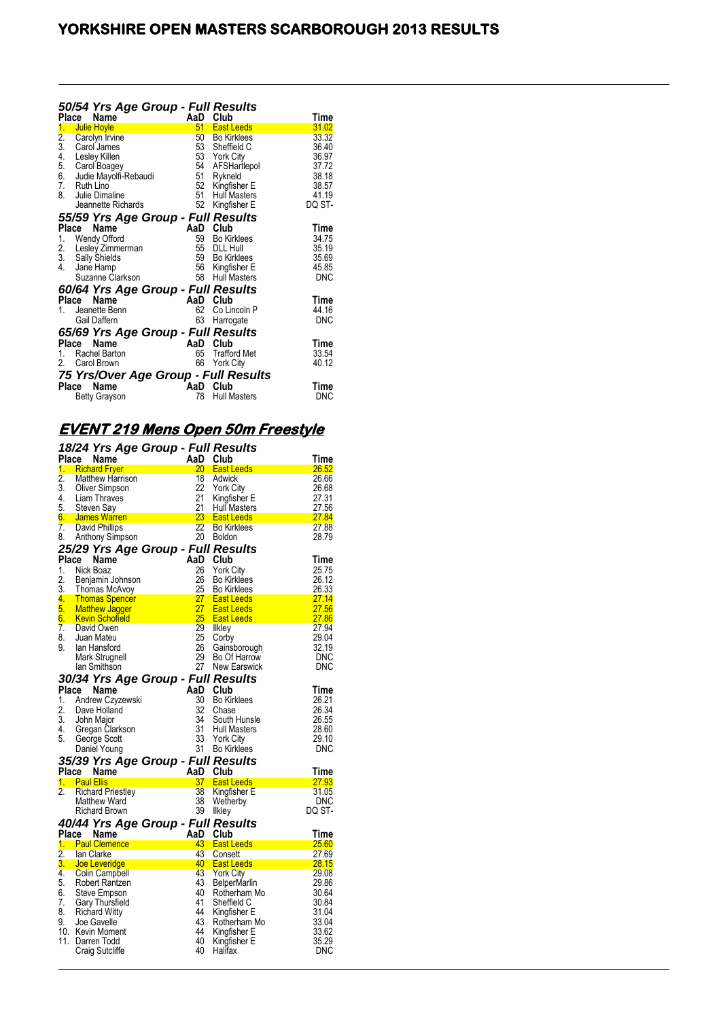|     | Club                                                                              | Time                                                                                                                                                                                                                                                                                                                                                                                                                                                                                                                     |
|-----|-----------------------------------------------------------------------------------|--------------------------------------------------------------------------------------------------------------------------------------------------------------------------------------------------------------------------------------------------------------------------------------------------------------------------------------------------------------------------------------------------------------------------------------------------------------------------------------------------------------------------|
| 51  | <b>East Leeds</b>                                                                 | 31.02                                                                                                                                                                                                                                                                                                                                                                                                                                                                                                                    |
|     |                                                                                   | 33.32                                                                                                                                                                                                                                                                                                                                                                                                                                                                                                                    |
|     |                                                                                   | 36.40                                                                                                                                                                                                                                                                                                                                                                                                                                                                                                                    |
|     |                                                                                   | 36.97                                                                                                                                                                                                                                                                                                                                                                                                                                                                                                                    |
|     |                                                                                   | 37.72                                                                                                                                                                                                                                                                                                                                                                                                                                                                                                                    |
|     |                                                                                   | 38.18                                                                                                                                                                                                                                                                                                                                                                                                                                                                                                                    |
|     |                                                                                   | 38.57                                                                                                                                                                                                                                                                                                                                                                                                                                                                                                                    |
|     |                                                                                   | 41.19<br>DQ ST-                                                                                                                                                                                                                                                                                                                                                                                                                                                                                                          |
|     |                                                                                   |                                                                                                                                                                                                                                                                                                                                                                                                                                                                                                                          |
|     |                                                                                   |                                                                                                                                                                                                                                                                                                                                                                                                                                                                                                                          |
|     |                                                                                   | Time                                                                                                                                                                                                                                                                                                                                                                                                                                                                                                                     |
|     |                                                                                   | 34.75                                                                                                                                                                                                                                                                                                                                                                                                                                                                                                                    |
|     |                                                                                   | 35.19                                                                                                                                                                                                                                                                                                                                                                                                                                                                                                                    |
|     |                                                                                   | 35.69                                                                                                                                                                                                                                                                                                                                                                                                                                                                                                                    |
|     |                                                                                   | 45.85                                                                                                                                                                                                                                                                                                                                                                                                                                                                                                                    |
|     |                                                                                   | <b>DNC</b>                                                                                                                                                                                                                                                                                                                                                                                                                                                                                                               |
|     |                                                                                   |                                                                                                                                                                                                                                                                                                                                                                                                                                                                                                                          |
|     |                                                                                   | Time                                                                                                                                                                                                                                                                                                                                                                                                                                                                                                                     |
|     |                                                                                   | 44.16                                                                                                                                                                                                                                                                                                                                                                                                                                                                                                                    |
|     |                                                                                   | <b>DNC</b>                                                                                                                                                                                                                                                                                                                                                                                                                                                                                                               |
|     |                                                                                   |                                                                                                                                                                                                                                                                                                                                                                                                                                                                                                                          |
| AaD | Club                                                                              | Time                                                                                                                                                                                                                                                                                                                                                                                                                                                                                                                     |
| 65  | <b>Trafford Met</b>                                                               | 33.54                                                                                                                                                                                                                                                                                                                                                                                                                                                                                                                    |
| 66  | <b>York City</b>                                                                  | 40.12                                                                                                                                                                                                                                                                                                                                                                                                                                                                                                                    |
|     |                                                                                   |                                                                                                                                                                                                                                                                                                                                                                                                                                                                                                                          |
|     | Club                                                                              | Time                                                                                                                                                                                                                                                                                                                                                                                                                                                                                                                     |
| 78  | <b>Hull Masters</b>                                                               | DNC                                                                                                                                                                                                                                                                                                                                                                                                                                                                                                                      |
|     | 50<br>53<br>54<br>51<br>52<br>51<br>52<br>AaD<br>59<br>55<br>59<br>58<br>62<br>63 | 50/54 Yrs Age Group - Full Results<br>AaD<br><b>Bo Kirklees</b><br>53 Sheffield C<br><b>York City</b><br>AFSHartlepol<br>Rykneld<br>Kingfisher E<br><b>Hull Masters</b><br>Kingfisher E<br>55/59 Yrs Age Group - Full Results<br>Club<br><b>Bo Kirklees</b><br><b>DLL Hull</b><br><b>Bo Kirklees</b><br>56<br>Kingfisher E<br><b>Hull Masters</b><br>60/64 Yrs Age Group - Full Results<br>AaD<br>Club<br>Co Lincoln P<br>Harrogate<br>65/69 Yrs Age Group - Full Results<br>75 Yrs/Over Age Group - Full Results<br>AaD |

# **EVENT 219 Mens Open 50m Freestyle**

|                  | 18/24 Yrs Age Group - Full Results     |                       |                                         |                |
|------------------|----------------------------------------|-----------------------|-----------------------------------------|----------------|
| Place            | Name                                   | AaD                   | Club                                    | Time           |
| 1.               | <b>Richard Fryer</b>                   | 20 <sub>2</sub>       | <b>East Leeds</b>                       | 26.52          |
| $\overline{2}$ . | <b>Matthew Harrison</b>                | 18                    | Adwick                                  | 26.66          |
| 3.               | Oliver Simpson                         | 22                    | <b>York City</b>                        | 26.68          |
| 4.               | Liam Thraves                           | 21                    | Kingfisher E                            | 27.31          |
| 5.               | Steven Say                             | 21<br>23 <sup>2</sup> | <b>Hull Masters</b>                     | 27.56          |
| 6. .             | James Warren                           | 22                    | <b>East Leeds</b>                       | 27.84          |
| 7.<br>8.         | <b>David Phillips</b>                  | 20                    | <b>Bo Kirklees</b>                      | 27.88<br>28.79 |
|                  | Anthony Simpson                        |                       | <b>Boldon</b>                           |                |
|                  | 25/29 Yrs Age Group - Full Results     |                       |                                         |                |
| Place            | Name                                   | AaD                   | Club                                    | Time           |
| 1.               | Nick Boaz                              | 26                    | <b>York City</b>                        | 25.75          |
| 2.<br>3.         | Benjamin Johnson                       | 26<br>25              | <b>Bo Kirklees</b>                      | 26.12<br>26.33 |
| 4.               | Thomas McAvoy<br><b>Thomas Spencer</b> | 27                    | <b>Bo Kirklees</b><br><b>East Leeds</b> | <u>27.14</u>   |
| 5.               | <b>Matthew Jagger</b>                  | 27                    | <b>East Leeds</b>                       | 27.56          |
| 6.               | <b>Kevin Schoffeld</b>                 | 25                    | <b>East Leeds</b>                       | 27.86          |
| $\overline{7}$ . | David Owen                             | 29                    | <b>Ilkley</b>                           | 27.94          |
| 8.               | Juan Mateu                             | 25                    | Corby                                   | 29.04          |
| 9.               | lan Hansford                           | 26                    | Gainsborough                            | 32.19          |
|                  | Mark Strugnell                         | 29                    | Bo Of Harrow                            | DNC            |
|                  | lan Smithson                           | 27                    | <b>New Earswick</b>                     | DNC            |
|                  | 30/34 Yrs Age Group - Full Results     |                       |                                         |                |
| Place            | Name                                   | AaD                   | <b>Club</b>                             | Time           |
| 1.               | Andrew Czyzewski                       | 30                    | <b>Bo Kirklees</b>                      | 26.21          |
| 2.               | Dave Holland                           | 32                    | Chase                                   | 26.34          |
| 3.               | John Major                             | 34                    | South Hunsle                            | 26.55          |
| 4.               | Gregan Clarkson                        | 31                    | Hull Masters                            | 28.60          |
| 5.               | George Scott                           | 33                    | <b>York City</b>                        | 29.10          |
|                  | Daniel Young                           | 31                    | <b>Bo Kirklees</b>                      | DNC            |
|                  | 35/39 Yrs Age Group - Full Results     |                       |                                         |                |
| Place            | Name                                   | AaD                   | Club                                    | Time           |
|                  | 1. Paul Ellis                          | 37                    | <b>East Leeds</b>                       | 27.93          |
| $\overline{2}$ . | <b>Richard Priestley</b>               | 38                    | Kingfisher E                            | 31.05          |
|                  | Matthew Ward                           | 38                    | Wetherby                                | DNC            |
|                  | <b>Richard Brown</b>                   | 39                    | Ilkley                                  | DQ ST-         |
|                  | 40/44 Yrs Age Group - Full Results     |                       |                                         |                |
| Place            | Name                                   | AaD                   | Club                                    | Time           |
|                  | 1. Paul Clemence                       | 43                    | <b>East Leeds</b>                       | 25.60          |
| 2.               | lan Clarke                             | 43                    | Consett                                 | 27.69          |
| 3.               | <u>Joe Leveridge</u>                   | 40                    | <b>East Leeds</b>                       | <u>28.15</u>   |
| 4.               | Colin Campbell                         | 43                    | <b>York City</b>                        | 29.08          |
| 5.               | Robert Rantzen                         | 43                    | <b>BelperMarlin</b>                     | 29.86          |
| 6.               | <b>Steve Empson</b>                    | 40                    | Rotherham Mo                            | 30.64          |
| 7.               | Gary Thursfield                        | 41                    | Sheffield C                             | 30.84          |
| 8.               | <b>Richard Witty</b>                   | 44                    | Kingfisher E                            | 31.04          |
| 9.               | Joe Gavelle                            | 43                    | Rotherham Mo                            | 33.04          |
| 10.              | Kevin Moment                           | 44                    | Kingfisher E                            | 33.62          |
| 11.              | Darren Todd                            | 40                    | Kingfisher E                            | 35.29          |
|                  | <b>Craig Sutcliffe</b>                 | 40                    | Halifax                                 | DNC            |
|                  |                                        |                       |                                         |                |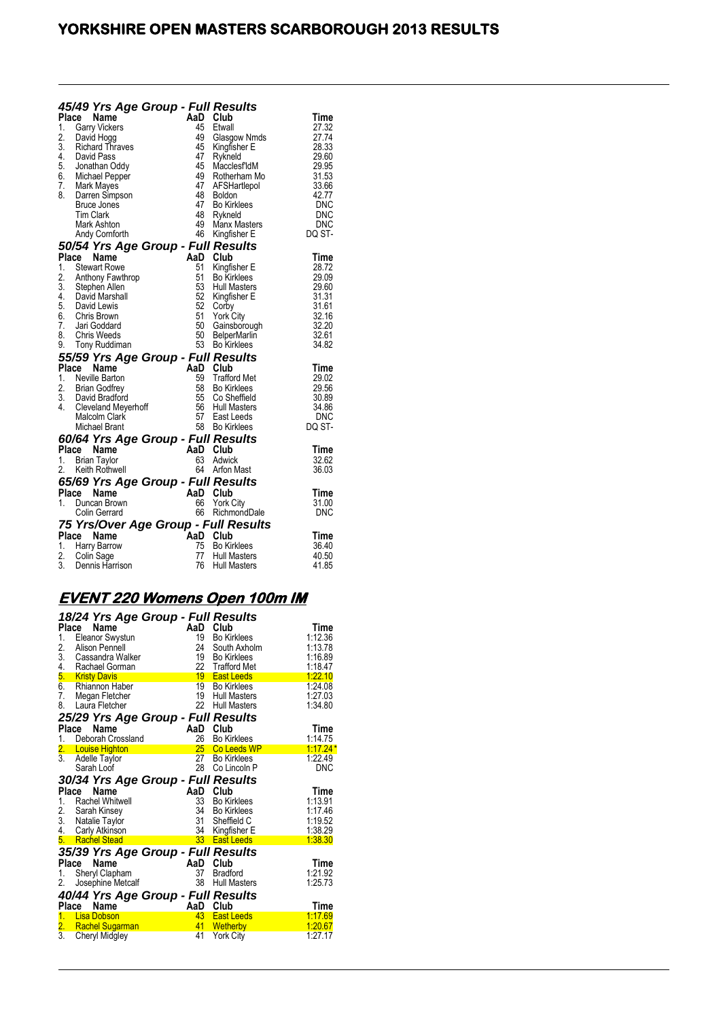| Place                                      | 45/49 Yrs Age Group - Full Results<br>Name                                                                                                                                                                          | AaD                                                                  | Club                                                                                                                                                                                | Time                                                                                                       |
|--------------------------------------------|---------------------------------------------------------------------------------------------------------------------------------------------------------------------------------------------------------------------|----------------------------------------------------------------------|-------------------------------------------------------------------------------------------------------------------------------------------------------------------------------------|------------------------------------------------------------------------------------------------------------|
| 1.<br>2.<br>3.<br>7.<br>8.                 | <b>Garry Vickers</b><br>David Hogg<br><b>Richard Thraves</b><br>4. David Pass<br>5. Jonathan Oddy<br>6. Michael Pepper<br>Mark Mayes<br>Darren Simpson<br>Bruce Jones<br>Tim Clark<br>Mark Ashton<br>Andy Cornforth | 45<br>49<br>45<br>47<br>45<br>49<br>47<br>48<br>47<br>48<br>49<br>46 | Etwall<br>Glasgow Nmds<br>Kingfisher E<br>Rykneld<br>Macclesf'ldM<br>Rotherham Mo<br>AFSHartlepol<br><b>Boldon</b><br><b>Bo Kirklees</b><br>Rykneld<br>Manx Masters<br>Kingfisher E | 27.32<br>27.74<br>28.33<br>29.60<br>29.95<br>31.53<br>33.66<br>42.77<br><b>DNC</b><br>DNC<br>DNC<br>DQ ST- |
|                                            | 50/54 Yrs Age Group - Full Results                                                                                                                                                                                  |                                                                      |                                                                                                                                                                                     |                                                                                                            |
| <b>Place</b><br>1.<br>2.<br>3.<br>7.<br>8. | Name<br><b>Stewart Rowe</b><br>Anthony Fawthrop<br>3. Stephen Allen<br>4. David Marshall<br>5. David Lewis<br>6. Chris Brown<br>Jari Goddard<br>Chris Weeds<br>9. Tony Ruddiman                                     | AaD Club<br>51<br>51<br>53<br>52<br>52<br>51<br>50<br>50             | Kingfisher E<br><b>Bo Kirklees</b><br><b>Hull Masters</b><br>Kingfisher E<br>Corby<br><b>York City</b><br>Gainsborough<br><b>BelperMarlin</b><br>53 Bo Kirklees                     | Time<br>28.72<br>29.09<br>29.60<br>31.31<br>31.61<br>32.16<br>32.20<br>32.61<br>34.82                      |
|                                            | 55/59 Yrs Age Group - Full Results                                                                                                                                                                                  |                                                                      |                                                                                                                                                                                     |                                                                                                            |
| Place<br>1.<br>2.<br>3.<br>4.              | <b>Name</b><br>Neville Barton<br><b>Brian Godfrey</b><br>David Bradford<br>Cleveland Meyerhoff<br>Malcolm Clark<br>Michael Brant                                                                                    | 59<br>58<br>56                                                       | AaD Club<br><b>Trafford Met</b><br>Bo Kirklees<br>55 Co Sheffield<br><b>Hull Masters</b><br>57 East Leeds<br>58 Bo Kirklees                                                         | <b>Time</b><br>29.02<br>29.56<br>30.89<br>34.86<br>DNC<br>DQ ST-                                           |
|                                            | 60/64 Yrs Age Group - Full Results<br>Place<br>Name                                                                                                                                                                 |                                                                      | AaD Club                                                                                                                                                                            | Time                                                                                                       |
| 1.                                         | <b>Brian Taylor</b><br>2. Keith Rothwell                                                                                                                                                                            | 63                                                                   | Adwick<br>64 Arfon Mast                                                                                                                                                             | 32.62<br>36.03                                                                                             |
|                                            | 65/69 Yrs Age Group - Full Results<br>Place<br>Name                                                                                                                                                                 |                                                                      | AaD Club                                                                                                                                                                            | Time                                                                                                       |
| $1_{-}$                                    | Duncan Brown<br>Colin Gerrard                                                                                                                                                                                       | 66                                                                   | <b>York City</b><br>66 RichmondDale                                                                                                                                                 | 31.00<br><b>DNC</b>                                                                                        |
|                                            | 75 Yrs/Over Age Group - Full Results                                                                                                                                                                                | AaD Club                                                             |                                                                                                                                                                                     |                                                                                                            |
| 1.<br>2.<br>3.                             | Place<br>Name<br>Harry Barrow<br>Colin Sage<br>Dennis Harrison                                                                                                                                                      | 75<br>77<br>76                                                       | Bo Kirklees<br><b>Hull Masters</b><br>Hull Masters                                                                                                                                  | Time<br>36.40<br>40.50<br>41.85                                                                            |

# **EVENT 220 Womens Open 100m IM**

|               | 18/24 Yrs Age Group - Full Results<br>Place<br><b>Name</b> | AaD      | Club                                   | Time               |
|---------------|------------------------------------------------------------|----------|----------------------------------------|--------------------|
| 1.            | <b>Eleanor Swystun</b>                                     | 19       | <b>Bo Kirklees</b>                     | 1:12.36            |
| 2.            | Alison Pennell                                             | 24       | South Axholm                           | 1:13.78            |
| 3.            | Cassandra Walker                                           | 19       | <b>Bo Kirklees</b>                     | 1:16.89            |
| 4.            | Rachael Gorman                                             |          | 22 Trafford Met                        | 1:18.47            |
|               | 5. Kristy Davis                                            | 19       | <b>East Leeds</b>                      | 1:22.10            |
| 6.            | <b>Rhiannon Haber</b>                                      | 19       | <b>Bo Kirklees</b>                     | 1:24.08            |
| 7.            | Megan Fletcher                                             | 19       | <b>Hull Masters</b>                    | 1:27.03            |
| 8.            | Laura Fletcher                                             | 22       | <b>Hull Masters</b>                    | 1:34.80            |
|               | 25/29 Yrs Age Group - Full Results                         |          |                                        |                    |
|               | Place<br>Name                                              | AaD      | Club                                   | Time               |
| 1.            | Deborah Crossland                                          | 26       | <b>Bo Kirklees</b>                     | 1:14.75            |
|               | <b>Louise Highton</b>                                      | 25       | Co Leeds WP                            | $1:17.24*$         |
| $\frac{2}{3}$ | Adelle Taylor                                              | 27       | <b>Bo Kirklees</b>                     | 1:22.49            |
|               | Sarah Loof                                                 | 28       | Co Lincoln P                           | <b>DNC</b>         |
|               | 30/34 Yrs Age Group - Full Results                         |          |                                        |                    |
| Place         | Name                                                       | AaD      | Club                                   | Time               |
|               |                                                            |          |                                        |                    |
| 1.            | <b>Rachel Whitwell</b>                                     |          | <b>Bo Kirklees</b>                     |                    |
|               |                                                            | 33<br>34 | <b>Bo Kirklees</b>                     | 1:13.91<br>1:17.46 |
| 2.<br>3.      | Sarah Kinsey                                               | 31       | Sheffield C                            | 1:19.52            |
| 4.            | Natalie Taylor<br>Carly Atkinson                           | 34       | Kingfisher E                           | 1:38.29            |
| 5.            | <b>Rachel Stead</b>                                        | 33       | <b>East Leeds</b>                      | 1.38.30            |
|               |                                                            |          |                                        |                    |
|               | 35/39 Yrs Age Group - Full Results                         |          |                                        |                    |
| Place         | Name                                                       | AaD      | Club                                   | Time               |
| 1.<br>2.      | Sheryl Clapham                                             | 37<br>38 | <b>Bradford</b><br><b>Hull Masters</b> | 1:21.92<br>1:25.73 |
|               | Josephine Metcalf                                          |          |                                        |                    |
|               | 40/44 Yrs Age Group - Full Results                         |          |                                        |                    |
| Place         | Name                                                       | AaD      | Club                                   | Time               |
| 1.            | <b>Lisa Dobson</b>                                         | 43       | <b>East Leeds</b>                      | 1:17.69            |
| 2.<br>3.      | <b>Rachel Sugarman</b><br>Cheryl Midgley                   | 41<br>41 | <b>Wetherby</b><br><b>York City</b>    | 1:20.67<br>1:27.17 |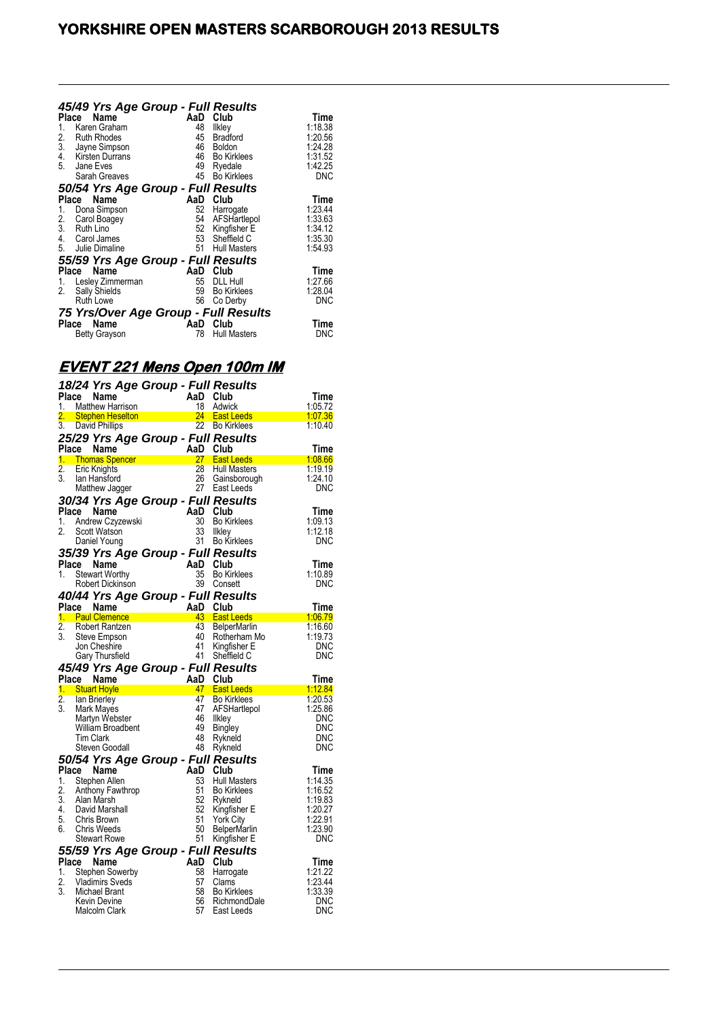| 1.<br>2.<br>4.<br>5. | 45/49 Yrs Age Group - Full Results<br>Place<br>Name<br>Karen Graham<br><b>Ruth Rhodes</b><br>3. Jayne Simpson<br>Kirsten Durrans<br>Jane Eves<br>Sarah Greaves | AaD<br>48<br>45<br>46<br>49<br>45 | Club<br>Ilkley<br><b>Bradford</b><br><b>Boldon</b><br>46 Bo Kirklees<br>Ryedale<br><b>Bo Kirklees</b> | Time<br>1:18.38<br>1:20.56<br>1:24.28<br>1:31.52<br>1:42.25<br>DNC |
|----------------------|----------------------------------------------------------------------------------------------------------------------------------------------------------------|-----------------------------------|-------------------------------------------------------------------------------------------------------|--------------------------------------------------------------------|
|                      |                                                                                                                                                                |                                   |                                                                                                       |                                                                    |
|                      | 50/54 Yrs Age Group - Full Results                                                                                                                             |                                   |                                                                                                       |                                                                    |
|                      | Name<br>Place                                                                                                                                                  | AaD                               | Club                                                                                                  | Time                                                               |
| 1.                   | Dona Simpson                                                                                                                                                   | 52                                | Harrogate                                                                                             | 1:23.44                                                            |
| 2.                   | Carol Boagey                                                                                                                                                   | 54                                | AFSHartlepol                                                                                          | 1:33.63                                                            |
| 3.                   | Ruth Lino                                                                                                                                                      | 52                                | Kingfisher E                                                                                          | 1:34.12                                                            |
| 4.                   | Carol James                                                                                                                                                    | 53                                | Sheffield C                                                                                           | 1:35.30                                                            |
|                      | 5. Julie Dimaline                                                                                                                                              | 51                                | <b>Hull Masters</b>                                                                                   | 1:54.93                                                            |
|                      | 55/59 Yrs Age Group - Full Results                                                                                                                             |                                   |                                                                                                       |                                                                    |
|                      | Name<br>Place                                                                                                                                                  | AaD                               | Club                                                                                                  | Time                                                               |
| 1.                   | Lesley Zimmerman                                                                                                                                               | 55                                | <b>DLL Hull</b>                                                                                       | 1:27.66                                                            |
| 2.                   |                                                                                                                                                                | 59                                | <b>Bo Kirklees</b>                                                                                    | 1:28.04                                                            |
|                      | Sally Shields<br>Ruth Lowe                                                                                                                                     | 56                                |                                                                                                       | DNC                                                                |
|                      |                                                                                                                                                                |                                   | Co Derby                                                                                              |                                                                    |
|                      | 75 Yrs/Over Age Group - Full Results                                                                                                                           |                                   |                                                                                                       |                                                                    |
|                      | Name<br>Place                                                                                                                                                  | AaD                               | Club                                                                                                  | Time                                                               |
|                      | <b>Betty Grayson</b>                                                                                                                                           | 78                                | <b>Hull Masters</b>                                                                                   | <b>DNC</b>                                                         |
|                      |                                                                                                                                                                |                                   |                                                                                                       |                                                                    |

# **EVENT 221 Mens Open 100m IM**

|                 | 18/24 Yrs Age Group - Full Results         |          |                     |         |
|-----------------|--------------------------------------------|----------|---------------------|---------|
| Place           | Name                                       | AaD      | Club                | Time    |
| 1.              | <b>Matthew Harrison</b>                    | 18       | Adwick              | 1:05.72 |
|                 | 2. Stephen Heselton                        | $24 -$   | <b>East Leeds</b>   | 1:07.36 |
| 3.              | David Phillips                             | 22       | <b>Bo Kirklees</b>  | 1:10.40 |
|                 | 25/29 Yrs Age Group - Full Results         |          |                     |         |
|                 | Place Name                                 | AaD      | Club                | Time    |
|                 | 1. Thomas Spencer                          | 27       | <b>East Leeds</b>   | 1:08.66 |
| 2.              | Eric Knights                               | 28       | <b>Hull Masters</b> | 1:19.19 |
| 3.              | lan Hansford                               | 26       | Gainsborough        | 1:24.10 |
|                 | Matthew Jagger                             |          | 27 East Leeds       | DNC     |
|                 | 30/34 Yrs Age Group - Full Results         |          |                     |         |
| Place           | Name                                       | AaD      | Club                | Time    |
| 1.              | Andrew Czyzewski                           | 30       | <b>Bo Kirklees</b>  | 1:09.13 |
| 2.              | Scott Watson                               | 33       | Ilkley              | 1:12.18 |
|                 | Daniel Young                               | 31       | <b>Bo Kirklees</b>  | DNC     |
|                 | 35/39 Yrs Age Group - Full Results         |          |                     |         |
|                 | Place Name                                 | AaD Club |                     | Time    |
| 1.              | <b>Stewart Worthy</b>                      | 35       | <b>Bo Kirklees</b>  | 1:10.89 |
|                 | Robert Dickinson                           | 39       | Consett             | DNC     |
|                 | 40/44 Yrs Age Group - Full Results         |          |                     |         |
|                 | Place Name                                 | AaD      | Club                | Time    |
|                 | 1. Paul Clemence                           | 43       | <b>East Leeds</b>   | 1:06.79 |
|                 | Robert Rantzen                             | 43       | <b>BelperMarlin</b> | 1:16.60 |
| $\frac{2}{3}$   | Steve Empson                               | 40       | Rotherham Mo        | 1:19.73 |
|                 | Jon Cheshire                               | 41       | Kingfisher E        | DNC     |
|                 | Gary Thursfield                            | 41       | Sheffield C         | DNC     |
|                 | 45/49 Yrs Age Group - Full Results         |          |                     |         |
| Place           | Name                                       | AaD Club |                     | Time    |
|                 | 1. Stuart Hoyle                            | 47       | <b>East Leeds</b>   | 1:12.84 |
|                 | lan Brierley                               | 47       | <b>Bo Kirklees</b>  | 1:20.53 |
| $\frac{2}{3}$ . | Mark Mayes                                 | 47       | AFSHartlepol        | 1:25.86 |
|                 | Martyn Webster                             | 46       | Ilkley              | DNC     |
|                 | William Broadbent                          | 49       | Bingley             | DNC     |
|                 | Tim Clark                                  | 48       | Rykneld             | DNC     |
|                 | Steven Goodall                             | 48       | Rykneld             | DNC     |
|                 | 50/54 Yrs Age Group - Full Results         |          |                     |         |
| Place           | Name                                       | AaD      | Club                | Time    |
| 1.              | Stephen Allen                              | 53       | <b>Hull Masters</b> | 1:14.35 |
| 2.              | Anthony Fawthrop                           | 51       | <b>Bo Kirklees</b>  | 1:16.52 |
| 3.              | Alan Marsh                                 | 52       | Rykneld             | 1:19.83 |
| 4.              | David Marshall                             | 52       | Kingfisher E        | 1:20.27 |
|                 |                                            |          |                     |         |
| 5.              | Chris Brown                                | 51       | <b>York City</b>    | 1:22.91 |
| 6.              | Chris Weeds                                | 50       | <b>BelperMarlin</b> | 1:23.90 |
|                 | <b>Stewart Rowe</b>                        | 51       | Kingfisher E        | DNC     |
|                 |                                            |          |                     |         |
|                 | 55/59 Yrs Age Group - Full Results<br>Name | AaD      | Club                | Time    |
| Place<br>1.     | <b>Stephen Sowerby</b>                     | 58       | Harrogate           | 1:21.22 |
| 2.              | Vladimirs Sveds                            | 57       | Clams               | 1:23.44 |
| 3.              | Michael Brant                              | 58       | <b>Bo Kirklees</b>  | 1:33.39 |
|                 | <b>Kevin Devine</b>                        | 56       | RichmondDale        | DNC     |
|                 | Malcolm Clark                              | 57       | East Leeds          | DNC     |